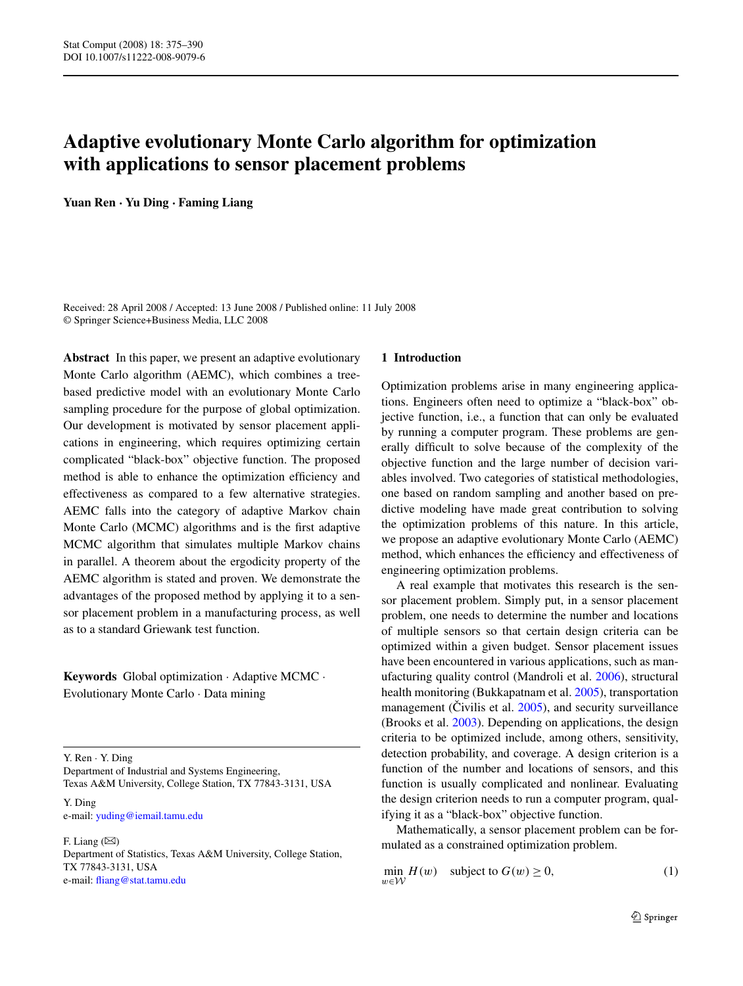# <span id="page-0-0"></span>**Adaptive evolutionary Monte Carlo algorithm for optimization with applications to sensor placement problems**

**Yuan Ren · Yu Ding · Faming Liang**

Received: 28 April 2008 / Accepted: 13 June 2008 / Published online: 11 July 2008 © Springer Science+Business Media, LLC 2008

**Abstract** In this paper, we present an adaptive evolutionary Monte Carlo algorithm (AEMC), which combines a treebased predictive model with an evolutionary Monte Carlo sampling procedure for the purpose of global optimization. Our development is motivated by sensor placement applications in engineering, which requires optimizing certain complicated "black-box" objective function. The proposed method is able to enhance the optimization efficiency and effectiveness as compared to a few alternative strategies. AEMC falls into the category of adaptive Markov chain Monte Carlo (MCMC) algorithms and is the first adaptive MCMC algorithm that simulates multiple Markov chains in parallel. A theorem about the ergodicity property of the AEMC algorithm is stated and proven. We demonstrate the advantages of the proposed method by applying it to a sensor placement problem in a manufacturing process, as well as to a standard Griewank test function.

**Keywords** Global optimization · Adaptive MCMC · Evolutionary Monte Carlo · Data mining

Y. Ren · Y. Ding

Department of Industrial and Systems Engineering, Texas A&M University, College Station, TX 77843-3131, USA

Y. Ding e-mail: [yuding@iemail.tamu.edu](mailto:yuding@iemail.tamu.edu)

F. Liang  $(\boxtimes)$ Department of Statistics, Texas A&M University, College Station, TX 77843-3131, USA e-mail: [fliang@stat.tamu.edu](mailto:fliang@stat.tamu.edu)

## **1 Introduction**

Optimization problems arise in many engineering applications. Engineers often need to optimize a "black-box" objective function, i.e., a function that can only be evaluated by running a computer program. These problems are generally difficult to solve because of the complexity of the objective function and the large number of decision variables involved. Two categories of statistical methodologies, one based on random sampling and another based on predictive modeling have made great contribution to solving the optimization problems of this nature. In this article, we propose an adaptive evolutionary Monte Carlo (AEMC) method, which enhances the efficiency and effectiveness of engineering optimization problems.

A real example that motivates this research is the sensor placement problem. Simply put, in a sensor placement problem, one needs to determine the number and locations of multiple sensors so that certain design criteria can be optimized within a given budget. Sensor placement issues have been encountered in various applications, such as manufacturing quality control (Mandroli et al. [2006\)](#page-15-0), structural health monitoring (Bukkapatnam et al. [2005\)](#page-14-0), transportation management (Civilis et al.  $2005$ ), and security surveillance (Brooks et al. [2003\)](#page-14-0). Depending on applications, the design criteria to be optimized include, among others, sensitivity, detection probability, and coverage. A design criterion is a function of the number and locations of sensors, and this function is usually complicated and nonlinear. Evaluating the design criterion needs to run a computer program, qualifying it as a "black-box" objective function.

Mathematically, a sensor placement problem can be formulated as a constrained optimization problem.

```
min H(w)w∈W
subject to G(w) \geq 0, (1)
```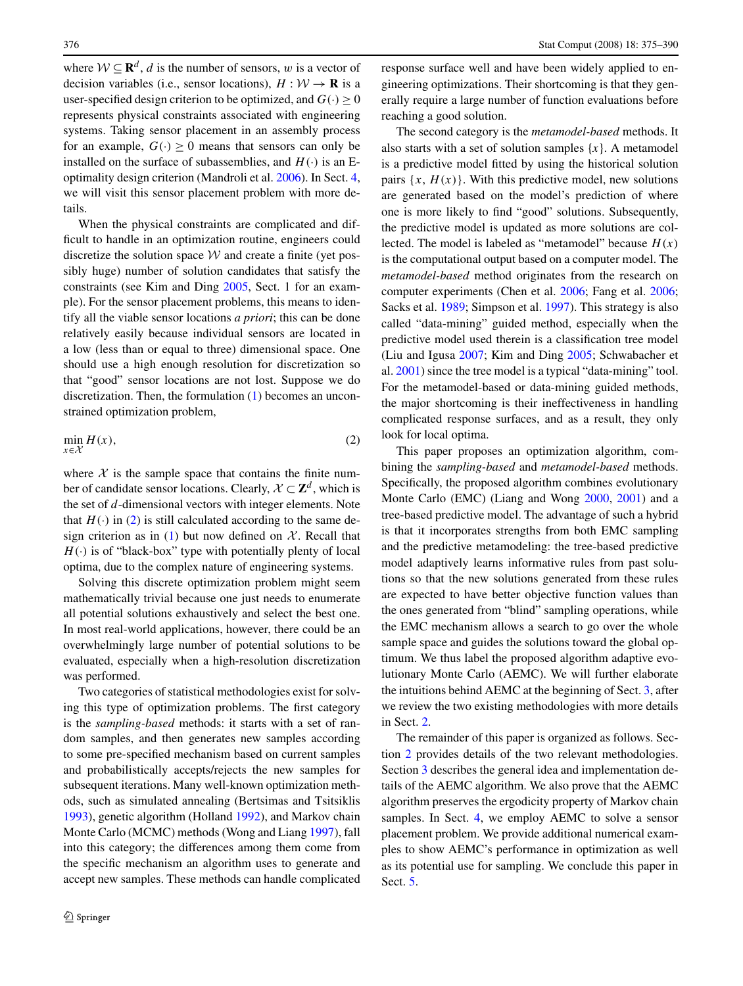<span id="page-1-0"></span>where  $W \subseteq \mathbb{R}^d$ , *d* is the number of sensors, *w* is a vector of decision variables (i.e., sensor locations),  $H : \mathcal{W} \to \mathbf{R}$  is a user-specified design criterion to be optimized, and  $G(\cdot) \ge 0$ represents physical constraints associated with engineering systems. Taking sensor placement in an assembly process for an example,  $G(\cdot) > 0$  means that sensors can only be installed on the surface of subassemblies, and  $H(.)$  is an Eoptimality design criterion (Mandroli et al. [2006](#page-15-0)). In Sect. [4](#page-7-0), we will visit this sensor placement problem with more details.

When the physical constraints are complicated and difficult to handle in an optimization routine, engineers could discretize the solution space  $W$  and create a finite (yet possibly huge) number of solution candidates that satisfy the constraints (see Kim and Ding [2005](#page-15-0), Sect. 1 for an example). For the sensor placement problems, this means to identify all the viable sensor locations *a priori*; this can be done relatively easily because individual sensors are located in a low (less than or equal to three) dimensional space. One should use a high enough resolution for discretization so that "good" sensor locations are not lost. Suppose we do discretization. Then, the formulation ([1\)](#page-0-0) becomes an unconstrained optimization problem,

$$
\min_{x \in \mathcal{X}} H(x),\tag{2}
$$

where  $X$  is the sample space that contains the finite number of candidate sensor locations. Clearly,  $X \subset \mathbb{Z}^d$ , which is the set of *d*-dimensional vectors with integer elements. Note that  $H(\cdot)$  in (2) is still calculated according to the same de-sign criterion as in ([1\)](#page-0-0) but now defined on  $X$ . Recall that  $H(\cdot)$  is of "black-box" type with potentially plenty of local optima, due to the complex nature of engineering systems.

Solving this discrete optimization problem might seem mathematically trivial because one just needs to enumerate all potential solutions exhaustively and select the best one. In most real-world applications, however, there could be an overwhelmingly large number of potential solutions to be evaluated, especially when a high-resolution discretization was performed.

Two categories of statistical methodologies exist for solving this type of optimization problems. The first category is the *sampling-based* methods: it starts with a set of random samples, and then generates new samples according to some pre-specified mechanism based on current samples and probabilistically accepts/rejects the new samples for subsequent iterations. Many well-known optimization methods, such as simulated annealing (Bertsimas and Tsitsiklis [1993\)](#page-14-0), genetic algorithm (Holland [1992\)](#page-14-0), and Markov chain Monte Carlo (MCMC) methods (Wong and Liang [1997](#page-15-0)), fall into this category; the differences among them come from the specific mechanism an algorithm uses to generate and accept new samples. These methods can handle complicated response surface well and have been widely applied to engineering optimizations. Their shortcoming is that they generally require a large number of function evaluations before reaching a good solution.

The second category is the *metamodel-based* methods. It also starts with a set of solution samples  $\{x\}$ . A metamodel is a predictive model fitted by using the historical solution pairs  $\{x, H(x)\}\$ . With this predictive model, new solutions are generated based on the model's prediction of where one is more likely to find "good" solutions. Subsequently, the predictive model is updated as more solutions are collected. The model is labeled as "metamodel" because *H(x)* is the computational output based on a computer model. The *metamodel-based* method originates from the research on computer experiments (Chen et al. [2006](#page-14-0); Fang et al. [2006](#page-14-0); Sacks et al. [1989](#page-15-0); Simpson et al. [1997\)](#page-15-0). This strategy is also called "data-mining" guided method, especially when the predictive model used therein is a classification tree model (Liu and Igusa [2007](#page-15-0); Kim and Ding [2005;](#page-15-0) Schwabacher et al. [2001](#page-15-0)) since the tree model is a typical "data-mining" tool. For the metamodel-based or data-mining guided methods, the major shortcoming is their ineffectiveness in handling complicated response surfaces, and as a result, they only look for local optima.

This paper proposes an optimization algorithm, combining the *sampling-based* and *metamodel-based* methods. Specifically, the proposed algorithm combines evolutionary Monte Carlo (EMC) (Liang and Wong [2000,](#page-15-0) [2001\)](#page-15-0) and a tree-based predictive model. The advantage of such a hybrid is that it incorporates strengths from both EMC sampling and the predictive metamodeling: the tree-based predictive model adaptively learns informative rules from past solutions so that the new solutions generated from these rules are expected to have better objective function values than the ones generated from "blind" sampling operations, while the EMC mechanism allows a search to go over the whole sample space and guides the solutions toward the global optimum. We thus label the proposed algorithm adaptive evolutionary Monte Carlo (AEMC). We will further elaborate the intuitions behind AEMC at the beginning of Sect. [3](#page-3-0), after we review the two existing methodologies with more details in Sect. [2](#page-2-0).

The remainder of this paper is organized as follows. Section [2](#page-2-0) provides details of the two relevant methodologies. Section [3](#page-3-0) describes the general idea and implementation details of the AEMC algorithm. We also prove that the AEMC algorithm preserves the ergodicity property of Markov chain samples. In Sect. [4](#page-7-0), we employ AEMC to solve a sensor placement problem. We provide additional numerical examples to show AEMC's performance in optimization as well as its potential use for sampling. We conclude this paper in Sect. [5.](#page-11-0)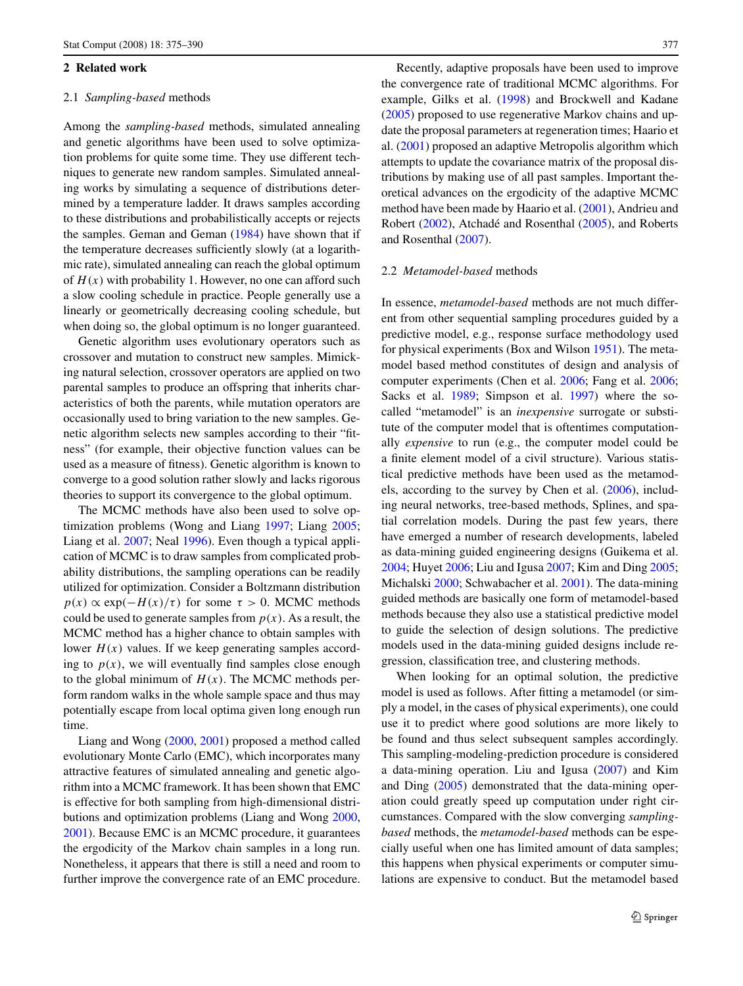#### <span id="page-2-0"></span>**2 Related work**

## 2.1 *Sampling-based* methods

Among the *sampling-based* methods, simulated annealing and genetic algorithms have been used to solve optimization problems for quite some time. They use different techniques to generate new random samples. Simulated annealing works by simulating a sequence of distributions determined by a temperature ladder. It draws samples according to these distributions and probabilistically accepts or rejects the samples. Geman and Geman [\(1984](#page-14-0)) have shown that if the temperature decreases sufficiently slowly (at a logarithmic rate), simulated annealing can reach the global optimum of  $H(x)$  with probability 1. However, no one can afford such a slow cooling schedule in practice. People generally use a linearly or geometrically decreasing cooling schedule, but when doing so, the global optimum is no longer guaranteed.

Genetic algorithm uses evolutionary operators such as crossover and mutation to construct new samples. Mimicking natural selection, crossover operators are applied on two parental samples to produce an offspring that inherits characteristics of both the parents, while mutation operators are occasionally used to bring variation to the new samples. Genetic algorithm selects new samples according to their "fitness" (for example, their objective function values can be used as a measure of fitness). Genetic algorithm is known to converge to a good solution rather slowly and lacks rigorous theories to support its convergence to the global optimum.

The MCMC methods have also been used to solve optimization problems (Wong and Liang [1997](#page-15-0); Liang [2005](#page-15-0); Liang et al. [2007](#page-15-0); Neal [1996](#page-15-0)). Even though a typical application of MCMC is to draw samples from complicated probability distributions, the sampling operations can be readily utilized for optimization. Consider a Boltzmann distribution  $p(x) \propto \exp(-H(x)/\tau)$  for some  $\tau > 0$ . MCMC methods could be used to generate samples from  $p(x)$ . As a result, the MCMC method has a higher chance to obtain samples with lower  $H(x)$  values. If we keep generating samples according to  $p(x)$ , we will eventually find samples close enough to the global minimum of  $H(x)$ . The MCMC methods perform random walks in the whole sample space and thus may potentially escape from local optima given long enough run time.

Liang and Wong [\(2000](#page-15-0), [2001](#page-15-0)) proposed a method called evolutionary Monte Carlo (EMC), which incorporates many attractive features of simulated annealing and genetic algorithm into a MCMC framework. It has been shown that EMC is effective for both sampling from high-dimensional distributions and optimization problems (Liang and Wong [2000](#page-15-0), [2001\)](#page-15-0). Because EMC is an MCMC procedure, it guarantees the ergodicity of the Markov chain samples in a long run. Nonetheless, it appears that there is still a need and room to further improve the convergence rate of an EMC procedure.

Recently, adaptive proposals have been used to improve the convergence rate of traditional MCMC algorithms. For example, Gilks et al. ([1998\)](#page-14-0) and Brockwell and Kadane [\(2005](#page-14-0)) proposed to use regenerative Markov chains and update the proposal parameters at regeneration times; Haario et al. [\(2001](#page-14-0)) proposed an adaptive Metropolis algorithm which attempts to update the covariance matrix of the proposal distributions by making use of all past samples. Important theoretical advances on the ergodicity of the adaptive MCMC method have been made by Haario et al. [\(2001](#page-14-0)), Andrieu and Robert [\(2002](#page-14-0)), Atchadé and Rosenthal [\(2005](#page-14-0)), and Roberts and Rosenthal [\(2007](#page-15-0)).

## 2.2 *Metamodel-based* methods

In essence, *metamodel-based* methods are not much different from other sequential sampling procedures guided by a predictive model, e.g., response surface methodology used for physical experiments (Box and Wilson [1951](#page-14-0)). The metamodel based method constitutes of design and analysis of computer experiments (Chen et al. [2006](#page-14-0); Fang et al. [2006](#page-14-0); Sacks et al. [1989](#page-15-0); Simpson et al. [1997\)](#page-15-0) where the socalled "metamodel" is an *inexpensive* surrogate or substitute of the computer model that is oftentimes computationally *expensive* to run (e.g., the computer model could be a finite element model of a civil structure). Various statistical predictive methods have been used as the metamodels, according to the survey by Chen et al. ([2006\)](#page-14-0), including neural networks, tree-based methods, Splines, and spatial correlation models. During the past few years, there have emerged a number of research developments, labeled as data-mining guided engineering designs (Guikema et al. [2004;](#page-14-0) Huyet [2006](#page-14-0); Liu and Igusa [2007](#page-15-0); Kim and Ding [2005](#page-15-0); Michalski [2000;](#page-15-0) Schwabacher et al. [2001\)](#page-15-0). The data-mining guided methods are basically one form of metamodel-based methods because they also use a statistical predictive model to guide the selection of design solutions. The predictive models used in the data-mining guided designs include regression, classification tree, and clustering methods.

When looking for an optimal solution, the predictive model is used as follows. After fitting a metamodel (or simply a model, in the cases of physical experiments), one could use it to predict where good solutions are more likely to be found and thus select subsequent samples accordingly. This sampling-modeling-prediction procedure is considered a data-mining operation. Liu and Igusa [\(2007](#page-15-0)) and Kim and Ding [\(2005](#page-15-0)) demonstrated that the data-mining operation could greatly speed up computation under right circumstances. Compared with the slow converging *samplingbased* methods, the *metamodel-based* methods can be especially useful when one has limited amount of data samples; this happens when physical experiments or computer simulations are expensive to conduct. But the metamodel based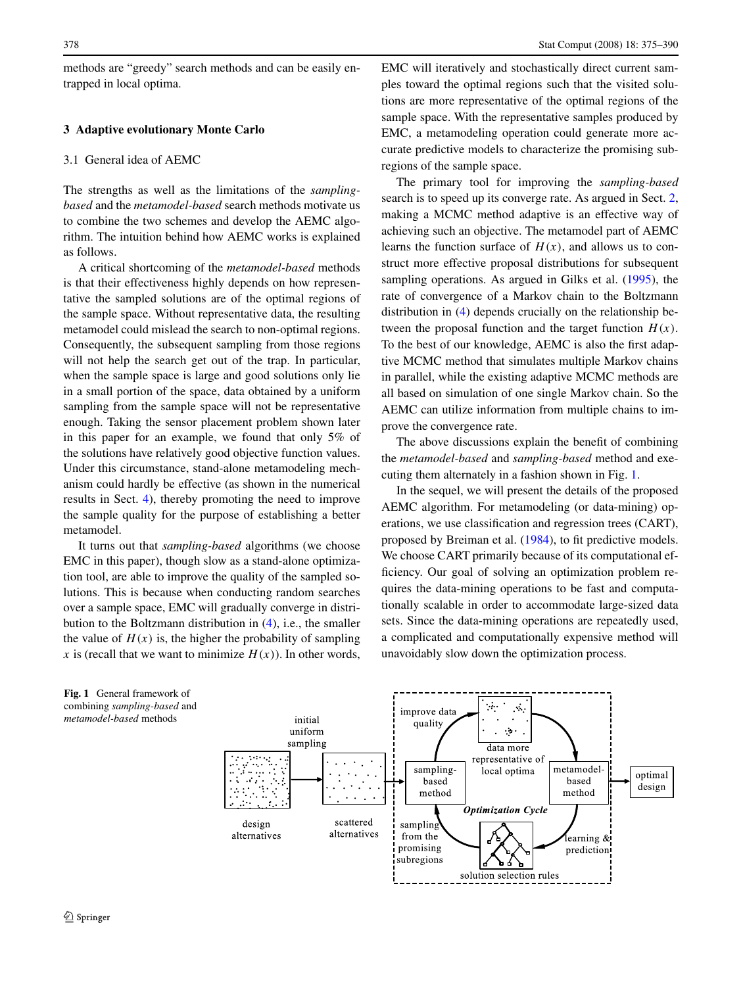methods are "greedy" search methods and can be easily entrapped in local optima.

# **3 Adaptive evolutionary Monte Carlo**

## 3.1 General idea of AEMC

The strengths as well as the limitations of the *samplingbased* and the *metamodel-based* search methods motivate us to combine the two schemes and develop the AEMC algorithm. The intuition behind how AEMC works is explained as follows.

A critical shortcoming of the *metamodel-based* methods is that their effectiveness highly depends on how representative the sampled solutions are of the optimal regions of the sample space. Without representative data, the resulting metamodel could mislead the search to non-optimal regions. Consequently, the subsequent sampling from those regions will not help the search get out of the trap. In particular, when the sample space is large and good solutions only lie in a small portion of the space, data obtained by a uniform sampling from the sample space will not be representative enough. Taking the sensor placement problem shown later in this paper for an example, we found that only 5% of the solutions have relatively good objective function values. Under this circumstance, stand-alone metamodeling mechanism could hardly be effective (as shown in the numerical results in Sect. [4\)](#page-7-0), thereby promoting the need to improve the sample quality for the purpose of establishing a better metamodel.

It turns out that *sampling-based* algorithms (we choose EMC in this paper), though slow as a stand-alone optimization tool, are able to improve the quality of the sampled solutions. This is because when conducting random searches over a sample space, EMC will gradually converge in distribution to the Boltzmann distribution in [\(4](#page-4-0)), i.e., the smaller the value of  $H(x)$  is, the higher the probability of sampling *x* is (recall that we want to minimize  $H(x)$ ). In other words,

<span id="page-3-0"></span>378 Stat Comput (2008) 18: 375–390

EMC will iteratively and stochastically direct current samples toward the optimal regions such that the visited solutions are more representative of the optimal regions of the sample space. With the representative samples produced by EMC, a metamodeling operation could generate more accurate predictive models to characterize the promising subregions of the sample space.

The primary tool for improving the *sampling-based* search is to speed up its converge rate. As argued in Sect. [2](#page-2-0), making a MCMC method adaptive is an effective way of achieving such an objective. The metamodel part of AEMC learns the function surface of  $H(x)$ , and allows us to construct more effective proposal distributions for subsequent sampling operations. As argued in Gilks et al. [\(1995](#page-14-0)), the rate of convergence of a Markov chain to the Boltzmann distribution in ([4\)](#page-4-0) depends crucially on the relationship between the proposal function and the target function  $H(x)$ . To the best of our knowledge, AEMC is also the first adaptive MCMC method that simulates multiple Markov chains in parallel, while the existing adaptive MCMC methods are all based on simulation of one single Markov chain. So the AEMC can utilize information from multiple chains to improve the convergence rate.

The above discussions explain the benefit of combining the *metamodel-based* and *sampling-based* method and executing them alternately in a fashion shown in Fig. 1.

In the sequel, we will present the details of the proposed AEMC algorithm. For metamodeling (or data-mining) operations, we use classification and regression trees (CART), proposed by Breiman et al. ([1984](#page-14-0)), to fit predictive models. We choose CART primarily because of its computational efficiency. Our goal of solving an optimization problem requires the data-mining operations to be fast and computationally scalable in order to accommodate large-sized data sets. Since the data-mining operations are repeatedly used, a complicated and computationally expensive method will unavoidably slow down the optimization process.

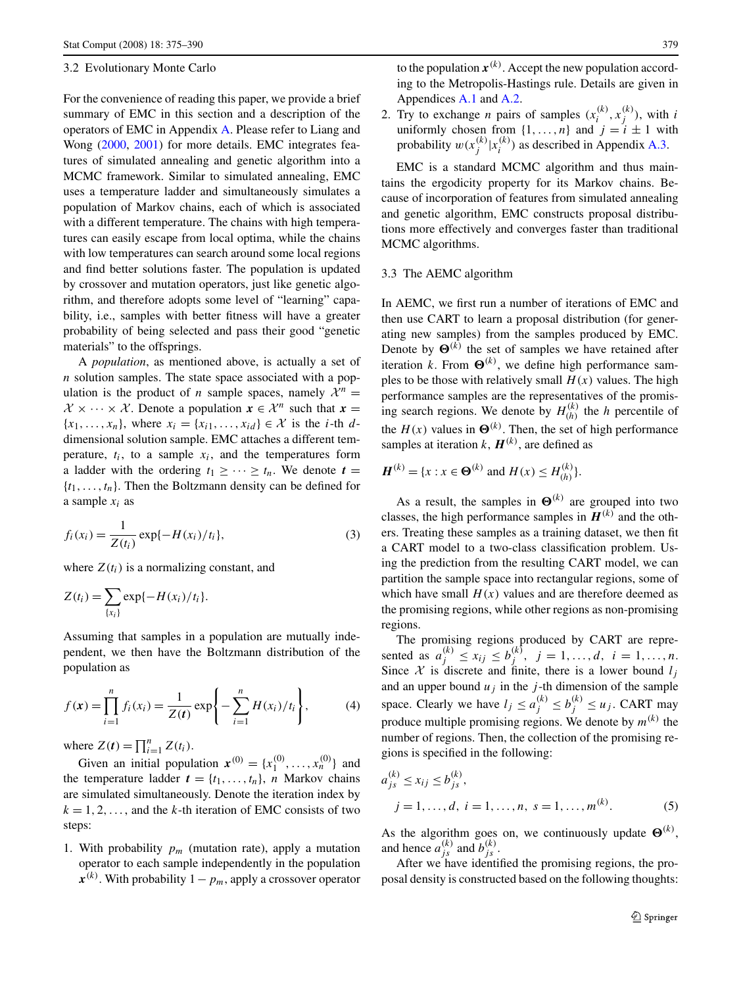#### <span id="page-4-0"></span>3.2 Evolutionary Monte Carlo

For the convenience of reading this paper, we provide a brief summary of EMC in this section and a description of the operators of EMC in Appendix [A](#page-12-0). Please refer to Liang and Wong [\(2000](#page-15-0), [2001](#page-15-0)) for more details. EMC integrates features of simulated annealing and genetic algorithm into a MCMC framework. Similar to simulated annealing, EMC uses a temperature ladder and simultaneously simulates a population of Markov chains, each of which is associated with a different temperature. The chains with high temperatures can easily escape from local optima, while the chains with low temperatures can search around some local regions and find better solutions faster. The population is updated by crossover and mutation operators, just like genetic algorithm, and therefore adopts some level of "learning" capability, i.e., samples with better fitness will have a greater probability of being selected and pass their good "genetic materials" to the offsprings.

A *population*, as mentioned above, is actually a set of *n* solution samples. The state space associated with a population is the product of *n* sample spaces, namely  $X^n =$  $\mathcal{X} \times \cdots \times \mathcal{X}$ . Denote a population  $x \in \mathcal{X}^n$  such that  $x =$ {*x*<sub>1</sub>*,...,x<sub>n</sub></sub>}, where <i>x<sub>i</sub>* = {*x*<sub>i</sub><sub>1</sub>*,...,x*<sub>i*d*</sub>} ∈ X is the *i*-th *d*dimensional solution sample. EMC attaches a different temperature,  $t_i$ , to a sample  $x_i$ , and the temperatures form a ladder with the ordering  $t_1 \geq \cdots \geq t_n$ . We denote  $t =$  $\{t_1, \ldots, t_n\}$ . Then the Boltzmann density can be defined for a sample *xi* as

$$
f_i(x_i) = \frac{1}{Z(t_i)} \exp\{-H(x_i)/t_i\},\tag{3}
$$

where  $Z(t_i)$  is a normalizing constant, and

$$
Z(t_i) = \sum_{\{x_i\}} \exp\{-H(x_i)/t_i\}.
$$

Assuming that samples in a population are mutually independent, we then have the Boltzmann distribution of the population as

$$
f(\mathbf{x}) = \prod_{i=1}^{n} f_i(x_i) = \frac{1}{Z(t)} \exp\left\{-\sum_{i=1}^{n} H(x_i)/t_i\right\},
$$
 (4)

where  $Z(t) = \prod_{i=1}^{n} Z(t_i)$ .

Given an initial population  $x^{(0)} = \{x_1^{(0)}, \ldots, x_n^{(0)}\}$  and the temperature ladder  $t = \{t_1, \ldots, t_n\}$ , *n* Markov chains are simulated simultaneously. Denote the iteration index by  $k = 1, 2, \ldots$ , and the *k*-th iteration of EMC consists of two steps:

1. With probability  $p_m$  (mutation rate), apply a mutation operator to each sample independently in the population  $x^{(k)}$ . With probability  $1-p_m$ , apply a crossover operator

to the population  $x^{(k)}$ . Accept the new population according to the Metropolis-Hastings rule. Details are given in Appendices [A.1](#page-12-0) and [A.2.](#page-12-0)

2. Try to exchange *n* pairs of samples  $(x_i^{(k)}, x_j^{(k)})$ , with *i* uniformly chosen from  $\{1, \ldots, n\}$  and  $j = i \pm 1$  with probability  $w(x_j^{(k)} | x_i^{(k)})$  as described in Appendix [A.3](#page-12-0).

EMC is a standard MCMC algorithm and thus maintains the ergodicity property for its Markov chains. Because of incorporation of features from simulated annealing and genetic algorithm, EMC constructs proposal distributions more effectively and converges faster than traditional MCMC algorithms.

## 3.3 The AEMC algorithm

In AEMC, we first run a number of iterations of EMC and then use CART to learn a proposal distribution (for generating new samples) from the samples produced by EMC. Denote by  $\mathbf{\Theta}^{(k)}$  the set of samples we have retained after iteration *k*. From  $\Theta^{(k)}$ , we define high performance samples to be those with relatively small  $H(x)$  values. The high performance samples are the representatives of the promising search regions. We denote by  $H_{(h)}^{(k)}$  the *h* percentile of the  $H(x)$  values in  $\Theta^{(k)}$ . Then, the set of high performance samples at iteration *k*,  $H^{(k)}$ , are defined as

$$
H^{(k)} = \{x : x \in \Theta^{(k)} \text{ and } H(x) \le H_{(h)}^{(k)}\}.
$$

As a result, the samples in  $\Theta^{(k)}$  are grouped into two classes, the high performance samples in  $H^{(k)}$  and the others. Treating these samples as a training dataset, we then fit a CART model to a two-class classification problem. Using the prediction from the resulting CART model, we can partition the sample space into rectangular regions, some of which have small  $H(x)$  values and are therefore deemed as the promising regions, while other regions as non-promising regions.

The promising regions produced by CART are represented as  $a_j^{(k)} \le x_{ij} \le b_j^{(k)}$ ,  $j = 1, ..., d, i = 1, ..., n$ . Since  $X$  is discrete and finite, there is a lower bound  $l_j$ and an upper bound  $u_j$  in the *j*-th dimension of the sample space. Clearly we have  $l_j \le a_j^{(k)} \le b_j^{(k)} \le u_j$ . CART may produce multiple promising regions. We denote by  $m^{(k)}$  the number of regions. Then, the collection of the promising regions is specified in the following:

$$
a_{js}^{(k)} \le x_{ij} \le b_{js}^{(k)},
$$
  
\n
$$
j = 1, ..., d, i = 1, ..., n, s = 1, ..., m^{(k)}.
$$
 (5)

As the algorithm goes on, we continuously update  $\Theta^{(k)}$ , and hence  $a_{js}^{(k)}$  and  $b_{js}^{(k)}$ .

After we have identified the promising regions, the proposal density is constructed based on the following thoughts: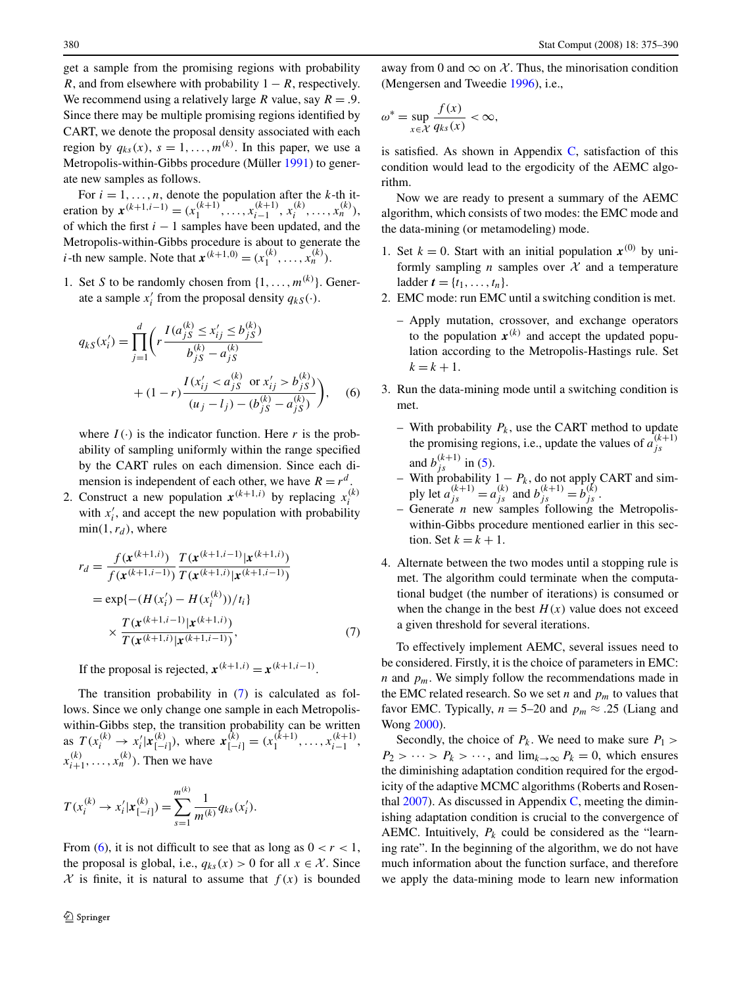<span id="page-5-0"></span>get a sample from the promising regions with probability *R*, and from elsewhere with probability  $1 - R$ , respectively. We recommend using a relatively large *R* value, say  $R = .9$ . Since there may be multiple promising regions identified by CART, we denote the proposal density associated with each region by  $q_{ks}(x)$ ,  $s = 1, \ldots, m^{(k)}$ . In this paper, we use a Metropolis-within-Gibbs procedure (Müller [1991\)](#page-15-0) to generate new samples as follows.

For  $i = 1, \ldots, n$ , denote the population after the *k*-th iteration by  $\mathbf{x}^{(k+1,i-1)} = (x_1^{(k+1)}, \ldots, x_{i-1}^{(k+1)}, x_i^{(k)}, \ldots, x_n^{(k)}),$ of which the first *i* − 1 samples have been updated, and the Metropolis-within-Gibbs procedure is about to generate the *i*-th new sample. Note that  $x^{(k+1,0)} = (x_1^{(k)}, \ldots, x_n^{(k)})$ .

1. Set *S* to be randomly chosen from  $\{1, \ldots, m^{(k)}\}$ . Generate a sample  $x_i'$  from the proposal density  $q_{kS}(\cdot)$ .

$$
q_{kS}(x'_i) = \prod_{j=1}^d \left( r \frac{I(a_{jS}^{(k)} \le x'_{ij} \le b_{jS}^{(k)})}{b_{jS}^{(k)} - a_{jS}^{(k)}} + (1-r) \frac{I(x'_{ij} < a_{jS}^{(k)} \text{ or } x'_{ij} > b_{jS}^{(k)})}{(u_j - l_j) - (b_{jS}^{(k)} - a_{jS}^{(k)})} \right), \quad (6)
$$

where  $I(\cdot)$  is the indicator function. Here *r* is the probability of sampling uniformly within the range specified by the CART rules on each dimension. Since each dimension is independent of each other, we have  $R = r^d$ .

2. Construct a new population  $x^{(k+1,i)}$  by replacing  $x_i^{(k)}$ with  $x_i'$ , and accept the new population with probability  $min(1, r_d)$ , where

$$
r_d = \frac{f(\mathbf{x}^{(k+1,i)})}{f(\mathbf{x}^{(k+1,i-1)})} \frac{T(\mathbf{x}^{(k+1,i-1)}|\mathbf{x}^{(k+1,i)})}{T(\mathbf{x}^{(k+1,i)}|\mathbf{x}^{(k+1,i-1)})}
$$
  
=  $\exp\{-(H(x'_i) - H(x_i^{(k)}))/t_i\}$   
 $\times \frac{T(\mathbf{x}^{(k+1,i-1)}|\mathbf{x}^{(k+1,i)})}{T(\mathbf{x}^{(k+1,i)}|\mathbf{x}^{(k+1,i-1)})},$  (7)

If the proposal is rejected,  $x^{(k+1,i)} = x^{(k+1,i-1)}$ .

The transition probability in (7) is calculated as follows. Since we only change one sample in each Metropoliswithin-Gibbs step, the transition probability can be written as  $T(x_i^{(k)} \rightarrow x_i' | \mathbf{x}_{[-i]}^{(k)})$ , where  $\mathbf{x}_{[-i]}^{(k)} = (x_1^{(k+1)}, \dots, x_{i-1}^{(k+1)})$  $x_{i+1}^{(k)}, \ldots, x_n^{(k)}$ ). Then we have

$$
T(x_i^{(k)} \to x_i'| \mathbf{x}_{[-i]}^{(k)}) = \sum_{s=1}^{m^{(k)}} \frac{1}{m^{(k)}} q_{ks}(x_i').
$$

From (6), it is not difficult to see that as long as  $0 < r < 1$ , the proposal is global, i.e.,  $q_{ks}(x) > 0$  for all  $x \in \mathcal{X}$ . Since  $\mathcal X$  is finite, it is natural to assume that  $f(x)$  is bounded

away from 0 and  $\infty$  on X. Thus, the minorisation condition (Mengersen and Tweedie [1996\)](#page-15-0), i.e.,

$$
\omega^* = \sup_{x \in \mathcal{X}} \frac{f(x)}{q_{ks}(x)} < \infty,
$$

is satisfied. As shown in Appendix  $C$ , satisfaction of this condition would lead to the ergodicity of the AEMC algorithm.

Now we are ready to present a summary of the AEMC algorithm, which consists of two modes: the EMC mode and the data-mining (or metamodeling) mode.

- 1. Set  $k = 0$ . Start with an initial population  $x^{(0)}$  by uniformly sampling *n* samples over  $X$  and a temperature ladder  $t = \{t_1, \ldots, t_n\}.$
- 2. EMC mode: run EMC until a switching condition is met.
	- Apply mutation, crossover, and exchange operators to the population  $x^{(k)}$  and accept the updated population according to the Metropolis-Hastings rule. Set  $k = k + 1$ .
- 3. Run the data-mining mode until a switching condition is met.
	- With probability  $P_k$ , use the CART method to update the promising regions, i.e., update the values of  $\hat{a}_{js}^{(k+1)}$ and  $b_{js}^{(k+1)}$  in [\(5](#page-4-0)).
	- With probability  $1 P_k$ , do not apply CART and simply let  $a_{js}^{(k+1)} = a_{js}^{(k)}$  and  $b_{js}^{(k+1)} = b_{js}^{(k)}$ .
	- $-$  Generate  $n$  new samples following the Metropoliswithin-Gibbs procedure mentioned earlier in this section. Set  $k = k + 1$ .
- 4. Alternate between the two modes until a stopping rule is met. The algorithm could terminate when the computational budget (the number of iterations) is consumed or when the change in the best  $H(x)$  value does not exceed a given threshold for several iterations.

To effectively implement AEMC, several issues need to be considered. Firstly, it is the choice of parameters in EMC:  $n$  and  $p_m$ . We simply follow the recommendations made in the EMC related research. So we set  $n$  and  $p_m$  to values that favor EMC. Typically,  $n = 5{\text -}20$  and  $p_m \approx .25$  (Liang and Wong [2000\)](#page-15-0).

Secondly, the choice of  $P_k$ . We need to make sure  $P_1$  >  $P_2$  > ··· >  $P_k$  > ···, and  $\lim_{k\to\infty} P_k = 0$ , which ensures the diminishing adaptation condition required for the ergodicity of the adaptive MCMC algorithms (Roberts and Rosenthal  $2007$ ). As discussed in Appendix [C,](#page-13-0) meeting the diminishing adaptation condition is crucial to the convergence of AEMC. Intuitively,  $P_k$  could be considered as the "learning rate". In the beginning of the algorithm, we do not have much information about the function surface, and therefore we apply the data-mining mode to learn new information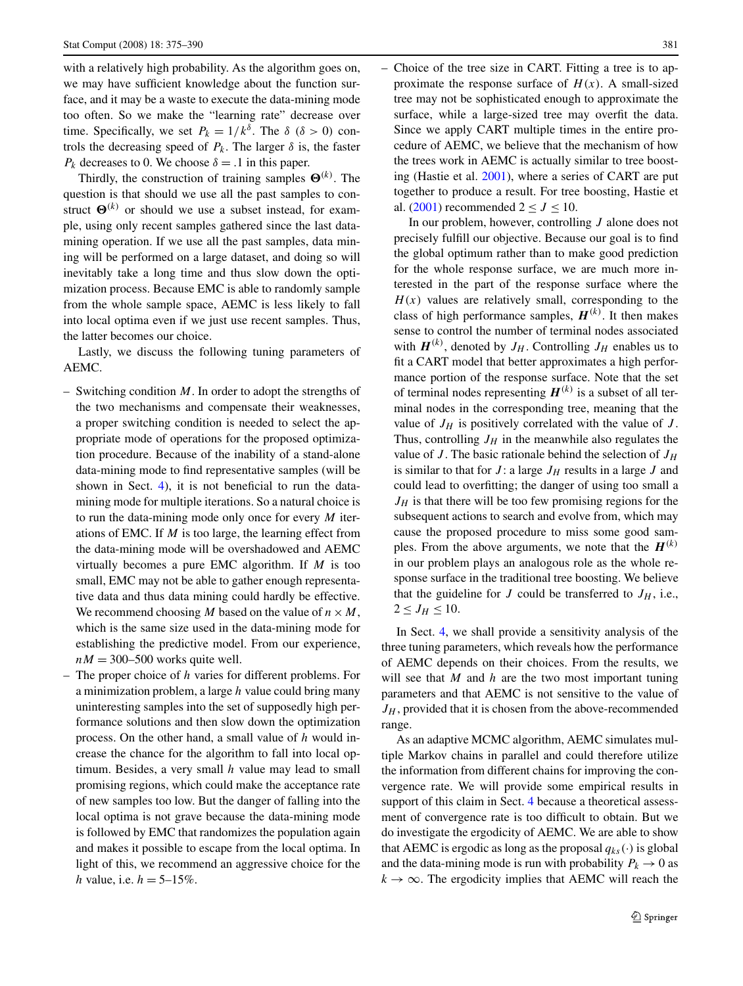with a relatively high probability. As the algorithm goes on, we may have sufficient knowledge about the function surface, and it may be a waste to execute the data-mining mode too often. So we make the "learning rate" decrease over time. Specifically, we set  $P_k = 1/k^{\delta}$ . The  $\delta$  ( $\delta > 0$ ) controls the decreasing speed of  $P_k$ . The larger  $\delta$  is, the faster *P<sub>k</sub>* decreases to 0. We choose  $\delta = .1$  in this paper.

Thirdly, the construction of training samples  $\mathbf{\Theta}^{(k)}$ . The question is that should we use all the past samples to construct  $\Theta^{(k)}$  or should we use a subset instead, for example, using only recent samples gathered since the last datamining operation. If we use all the past samples, data mining will be performed on a large dataset, and doing so will inevitably take a long time and thus slow down the optimization process. Because EMC is able to randomly sample from the whole sample space, AEMC is less likely to fall into local optima even if we just use recent samples. Thus, the latter becomes our choice.

Lastly, we discuss the following tuning parameters of AEMC.

- Switching condition *M*. In order to adopt the strengths of the two mechanisms and compensate their weaknesses, a proper switching condition is needed to select the appropriate mode of operations for the proposed optimization procedure. Because of the inability of a stand-alone data-mining mode to find representative samples (will be shown in Sect. [4\)](#page-7-0), it is not beneficial to run the datamining mode for multiple iterations. So a natural choice is to run the data-mining mode only once for every *M* iterations of EMC. If *M* is too large, the learning effect from the data-mining mode will be overshadowed and AEMC virtually becomes a pure EMC algorithm. If *M* is too small, EMC may not be able to gather enough representative data and thus data mining could hardly be effective. We recommend choosing *M* based on the value of  $n \times M$ , which is the same size used in the data-mining mode for establishing the predictive model. From our experience,  $nM = 300-500$  works quite well.
- The proper choice of *h* varies for different problems. For a minimization problem, a large *h* value could bring many uninteresting samples into the set of supposedly high performance solutions and then slow down the optimization process. On the other hand, a small value of *h* would increase the chance for the algorithm to fall into local optimum. Besides, a very small *h* value may lead to small promising regions, which could make the acceptance rate of new samples too low. But the danger of falling into the local optima is not grave because the data-mining mode is followed by EMC that randomizes the population again and makes it possible to escape from the local optima. In light of this, we recommend an aggressive choice for the *h* value, i.e.  $h = 5-15\%$ .

– Choice of the tree size in CART. Fitting a tree is to approximate the response surface of  $H(x)$ . A small-sized tree may not be sophisticated enough to approximate the surface, while a large-sized tree may overfit the data. Since we apply CART multiple times in the entire procedure of AEMC, we believe that the mechanism of how the trees work in AEMC is actually similar to tree boosting (Hastie et al. [2001](#page-14-0)), where a series of CART are put together to produce a result. For tree boosting, Hastie et al.  $(2001)$  $(2001)$  recommended  $2 < J < 10$ .

In our problem, however, controlling *J* alone does not precisely fulfill our objective. Because our goal is to find the global optimum rather than to make good prediction for the whole response surface, we are much more interested in the part of the response surface where the  $H(x)$  values are relatively small, corresponding to the class of high performance samples,  $H^{(k)}$ . It then makes sense to control the number of terminal nodes associated with  $H^{(k)}$ , denoted by  $J_H$ . Controlling  $J_H$  enables us to fit a CART model that better approximates a high performance portion of the response surface. Note that the set of terminal nodes representing  $H^{(k)}$  is a subset of all terminal nodes in the corresponding tree, meaning that the value of  $J_H$  is positively correlated with the value of  $J$ . Thus, controlling  $J_H$  in the meanwhile also regulates the value of  $J$ . The basic rationale behind the selection of  $J_H$ is similar to that for  $J:$  a large  $J<sub>H</sub>$  results in a large  $J$  and could lead to overfitting; the danger of using too small a  $J_H$  is that there will be too few promising regions for the subsequent actions to search and evolve from, which may cause the proposed procedure to miss some good samples. From the above arguments, we note that the  $H^{(k)}$ in our problem plays an analogous role as the whole response surface in the traditional tree boosting. We believe that the guideline for *J* could be transferred to  $J_H$ , i.e.,  $2 \le J_H \le 10$ .

In Sect. [4](#page-7-0), we shall provide a sensitivity analysis of the three tuning parameters, which reveals how the performance of AEMC depends on their choices. From the results, we will see that *M* and *h* are the two most important tuning parameters and that AEMC is not sensitive to the value of  $J_H$ , provided that it is chosen from the above-recommended range.

As an adaptive MCMC algorithm, AEMC simulates multiple Markov chains in parallel and could therefore utilize the information from different chains for improving the convergence rate. We will provide some empirical results in support of this claim in Sect. [4](#page-7-0) because a theoretical assessment of convergence rate is too difficult to obtain. But we do investigate the ergodicity of AEMC. We are able to show that AEMC is ergodic as long as the proposal  $q_{ks}(\cdot)$  is global and the data-mining mode is run with probability  $P_k \to 0$  as  $k \to \infty$ . The ergodicity implies that AEMC will reach the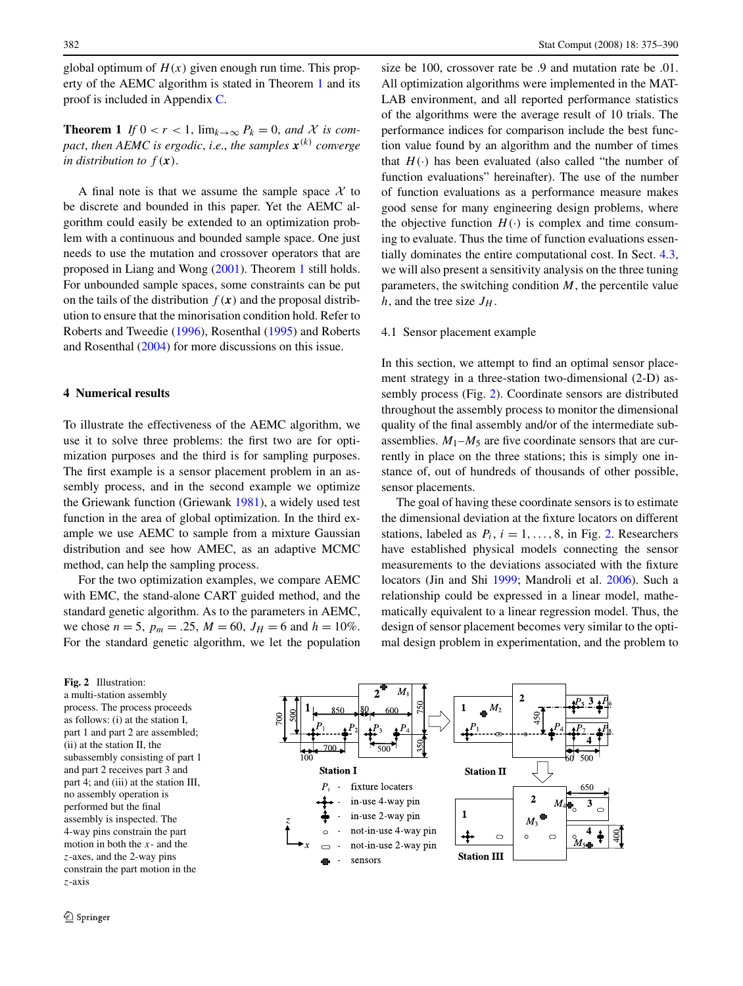<span id="page-7-0"></span>global optimum of  $H(x)$  given enough run time. This property of the AEMC algorithm is stated in Theorem 1 and its proof is included in Appendix [C](#page-13-0).

**Theorem 1** *If*  $0 < r < 1$ ,  $\lim_{k \to \infty} P_k = 0$ , and X is com*pact, then AEMC is ergodic, i.e., the samples*  $x^{(k)}$  *converge in distribution to*  $f(x)$ *.* 

A final note is that we assume the sample space  $X$  to be discrete and bounded in this paper. Yet the AEMC algorithm could easily be extended to an optimization problem with a continuous and bounded sample space. One just needs to use the mutation and crossover operators that are proposed in Liang and Wong ([2001\)](#page-15-0). Theorem 1 still holds. For unbounded sample spaces, some constraints can be put on the tails of the distribution  $f(x)$  and the proposal distribution to ensure that the minorisation condition hold. Refer to Roberts and Tweedie ([1996\)](#page-15-0), Rosenthal [\(1995\)](#page-15-0) and Roberts and Rosenthal [\(2004](#page-15-0)) for more discussions on this issue.

## **4 Numerical results**

To illustrate the effectiveness of the AEMC algorithm, we use it to solve three problems: the first two are for optimization purposes and the third is for sampling purposes. The first example is a sensor placement problem in an assembly process, and in the second example we optimize the Griewank function (Griewank [1981](#page-14-0)), a widely used test function in the area of global optimization. In the third example we use AEMC to sample from a mixture Gaussian distribution and see how AMEC, as an adaptive MCMC method, can help the sampling process.

For the two optimization examples, we compare AEMC with EMC, the stand-alone CART guided method, and the standard genetic algorithm. As to the parameters in AEMC, we chose  $n = 5$ ,  $p_m = .25$ ,  $M = 60$ ,  $J_H = 6$  and  $h = 10\%$ . For the standard genetic algorithm, we let the population

size be 100, crossover rate be .9 and mutation rate be .01. All optimization algorithms were implemented in the MAT-LAB environment, and all reported performance statistics of the algorithms were the average result of 10 trials. The performance indices for comparison include the best function value found by an algorithm and the number of times that  $H(\cdot)$  has been evaluated (also called "the number of function evaluations" hereinafter). The use of the number of function evaluations as a performance measure makes good sense for many engineering design problems, where the objective function  $H(\cdot)$  is complex and time consuming to evaluate. Thus the time of function evaluations essentially dominates the entire computational cost. In Sect. [4.3](#page-10-0), we will also present a sensitivity analysis on the three tuning parameters, the switching condition  $M$ , the percentile value *h*, and the tree size  $J_H$ .

# 4.1 Sensor placement example

In this section, we attempt to find an optimal sensor placement strategy in a three-station two-dimensional (2-D) assembly process (Fig. 2). Coordinate sensors are distributed throughout the assembly process to monitor the dimensional quality of the final assembly and/or of the intermediate subassemblies.  $M_1-M_5$  are five coordinate sensors that are currently in place on the three stations; this is simply one instance of, out of hundreds of thousands of other possible, sensor placements.

The goal of having these coordinate sensors is to estimate the dimensional deviation at the fixture locators on different stations, labeled as  $P_i$ ,  $i = 1, \ldots, 8$ , in Fig. 2. Researchers have established physical models connecting the sensor measurements to the deviations associated with the fixture locators (Jin and Shi [1999;](#page-14-0) Mandroli et al. [2006](#page-15-0)). Such a relationship could be expressed in a linear model, mathematically equivalent to a linear regression model. Thus, the design of sensor placement becomes very similar to the optimal design problem in experimentation, and the problem to

**Fig. 2** Illustration: a multi-station assembly process. The process proceeds as follows: (i) at the station I, part 1 and part 2 are assembled; (ii) at the station II, the subassembly consisting of part 1 and part 2 receives part 3 and part 4; and (iii) at the station III, no assembly operation is performed but the final assembly is inspected. The 4-way pins constrain the part motion in both the *x*- and the *z*-axes, and the 2-way pins constrain the part motion in the *z*-axis

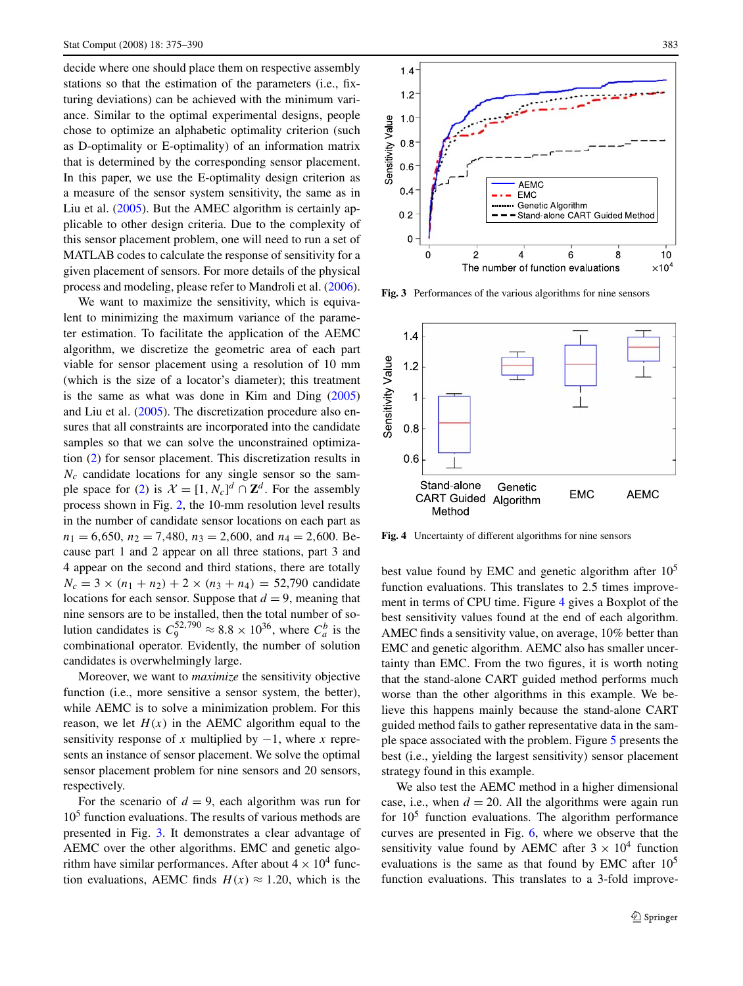decide where one should place them on respective assembly stations so that the estimation of the parameters (i.e., fixturing deviations) can be achieved with the minimum variance. Similar to the optimal experimental designs, people chose to optimize an alphabetic optimality criterion (such as D-optimality or E-optimality) of an information matrix that is determined by the corresponding sensor placement. In this paper, we use the E-optimality design criterion as a measure of the sensor system sensitivity, the same as in Liu et al. ([2005\)](#page-15-0). But the AMEC algorithm is certainly applicable to other design criteria. Due to the complexity of this sensor placement problem, one will need to run a set of MATLAB codes to calculate the response of sensitivity for a given placement of sensors. For more details of the physical process and modeling, please refer to Mandroli et al. [\(2006](#page-15-0)).

We want to maximize the sensitivity, which is equivalent to minimizing the maximum variance of the parameter estimation. To facilitate the application of the AEMC algorithm, we discretize the geometric area of each part viable for sensor placement using a resolution of 10 mm (which is the size of a locator's diameter); this treatment is the same as what was done in Kim and Ding ([2005\)](#page-15-0) and Liu et al. ([2005\)](#page-15-0). The discretization procedure also ensures that all constraints are incorporated into the candidate samples so that we can solve the unconstrained optimization ([2\)](#page-1-0) for sensor placement. This discretization results in *Nc* candidate locations for any single sensor so the sam-ple space for [\(2](#page-1-0)) is  $\mathcal{X} = [1, N_c]^d \cap \mathbb{Z}^d$ . For the assembly process shown in Fig. [2](#page-7-0), the 10-mm resolution level results in the number of candidate sensor locations on each part as  $n_1 = 6{,}650$ ,  $n_2 = 7{,}480$ ,  $n_3 = 2{,}600$ , and  $n_4 = 2{,}600$ . Because part 1 and 2 appear on all three stations, part 3 and 4 appear on the second and third stations, there are totally  $N_c = 3 \times (n_1 + n_2) + 2 \times (n_3 + n_4) = 52,790$  candidate locations for each sensor. Suppose that  $d = 9$ , meaning that nine sensors are to be installed, then the total number of solution candidates is  $C_9^{52,790} \approx 8.8 \times 10^{36}$ , where  $C_a^b$  is the combinational operator. Evidently, the number of solution candidates is overwhelmingly large.

Moreover, we want to *maximize* the sensitivity objective function (i.e., more sensitive a sensor system, the better), while AEMC is to solve a minimization problem. For this reason, we let  $H(x)$  in the AEMC algorithm equal to the sensitivity response of *x* multiplied by  $-1$ , where *x* represents an instance of sensor placement. We solve the optimal sensor placement problem for nine sensors and 20 sensors, respectively.

For the scenario of  $d = 9$ , each algorithm was run for  $10<sup>5</sup>$  function evaluations. The results of various methods are presented in Fig. 3. It demonstrates a clear advantage of AEMC over the other algorithms. EMC and genetic algorithm have similar performances. After about  $4 \times 10^4$  function evaluations, AEMC finds  $H(x) \approx 1.20$ , which is the



**Fig. 3** Performances of the various algorithms for nine sensors



**Fig. 4** Uncertainty of different algorithms for nine sensors

best value found by EMC and genetic algorithm after  $10<sup>5</sup>$ function evaluations. This translates to 2.5 times improvement in terms of CPU time. Figure 4 gives a Boxplot of the best sensitivity values found at the end of each algorithm. AMEC finds a sensitivity value, on average, 10% better than EMC and genetic algorithm. AEMC also has smaller uncertainty than EMC. From the two figures, it is worth noting that the stand-alone CART guided method performs much worse than the other algorithms in this example. We believe this happens mainly because the stand-alone CART guided method fails to gather representative data in the sample space associated with the problem. Figure [5](#page-9-0) presents the best (i.e., yielding the largest sensitivity) sensor placement strategy found in this example.

We also test the AEMC method in a higher dimensional case, i.e., when  $d = 20$ . All the algorithms were again run for  $10<sup>5</sup>$  function evaluations. The algorithm performance curves are presented in Fig. [6](#page-9-0), where we observe that the sensitivity value found by AEMC after  $3 \times 10^4$  function evaluations is the same as that found by EMC after  $10<sup>5</sup>$ function evaluations. This translates to a 3-fold improve-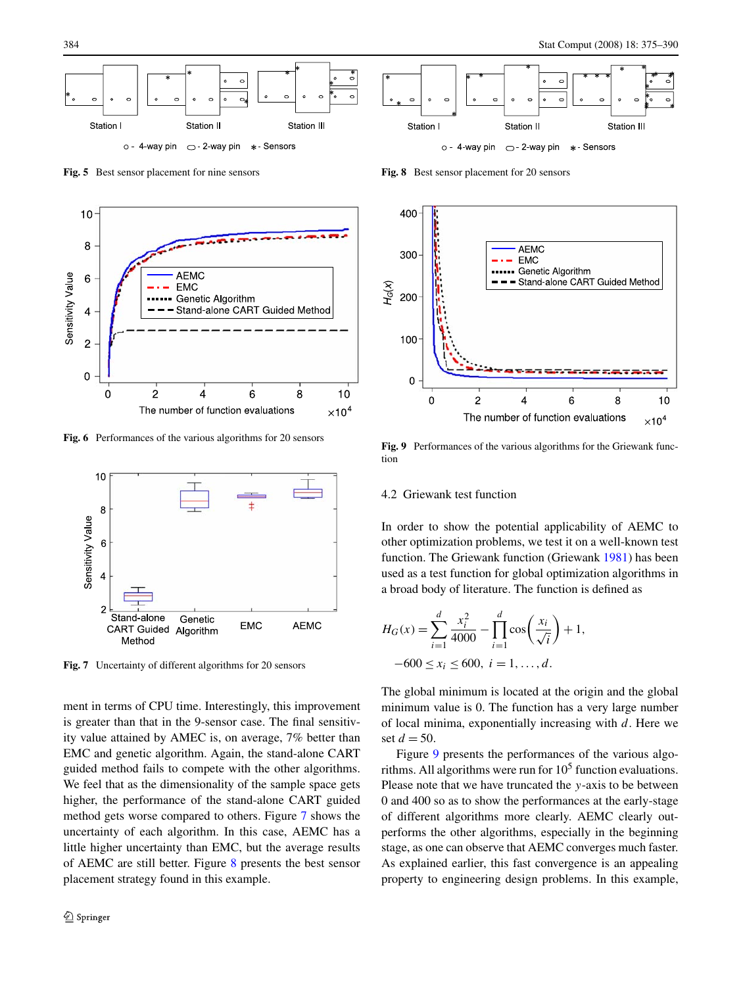<span id="page-9-0"></span>

**Fig. 5** Best sensor placement for nine sensors



**Fig. 6** Performances of the various algorithms for 20 sensors



**Fig. 7** Uncertainty of different algorithms for 20 sensors

ment in terms of CPU time. Interestingly, this improvement is greater than that in the 9-sensor case. The final sensitivity value attained by AMEC is, on average, 7% better than EMC and genetic algorithm. Again, the stand-alone CART guided method fails to compete with the other algorithms. We feel that as the dimensionality of the sample space gets higher, the performance of the stand-alone CART guided method gets worse compared to others. Figure 7 shows the uncertainty of each algorithm. In this case, AEMC has a little higher uncertainty than EMC, but the average results of AEMC are still better. Figure 8 presents the best sensor placement strategy found in this example.

**Fig. 8** Best sensor placement for 20 sensors



**Fig. 9** Performances of the various algorithms for the Griewank function

# 4.2 Griewank test function

In order to show the potential applicability of AEMC to other optimization problems, we test it on a well-known test function. The Griewank function (Griewank [1981\)](#page-14-0) has been used as a test function for global optimization algorithms in a broad body of literature. The function is defined as

$$
H_G(x) = \sum_{i=1}^d \frac{x_i^2}{4000} - \prod_{i=1}^d \cos\left(\frac{x_i}{\sqrt{i}}\right) + 1,
$$
  
-600 \le x\_i \le 600, i = 1, ..., d.

The global minimum is located at the origin and the global minimum value is 0. The function has a very large number of local minima, exponentially increasing with *d*. Here we set  $d = 50$ .

Figure 9 presents the performances of the various algorithms. All algorithms were run for  $10<sup>5</sup>$  function evaluations. Please note that we have truncated the *y*-axis to be between 0 and 400 so as to show the performances at the early-stage of different algorithms more clearly. AEMC clearly outperforms the other algorithms, especially in the beginning stage, as one can observe that AEMC converges much faster. As explained earlier, this fast convergence is an appealing property to engineering design problems. In this example,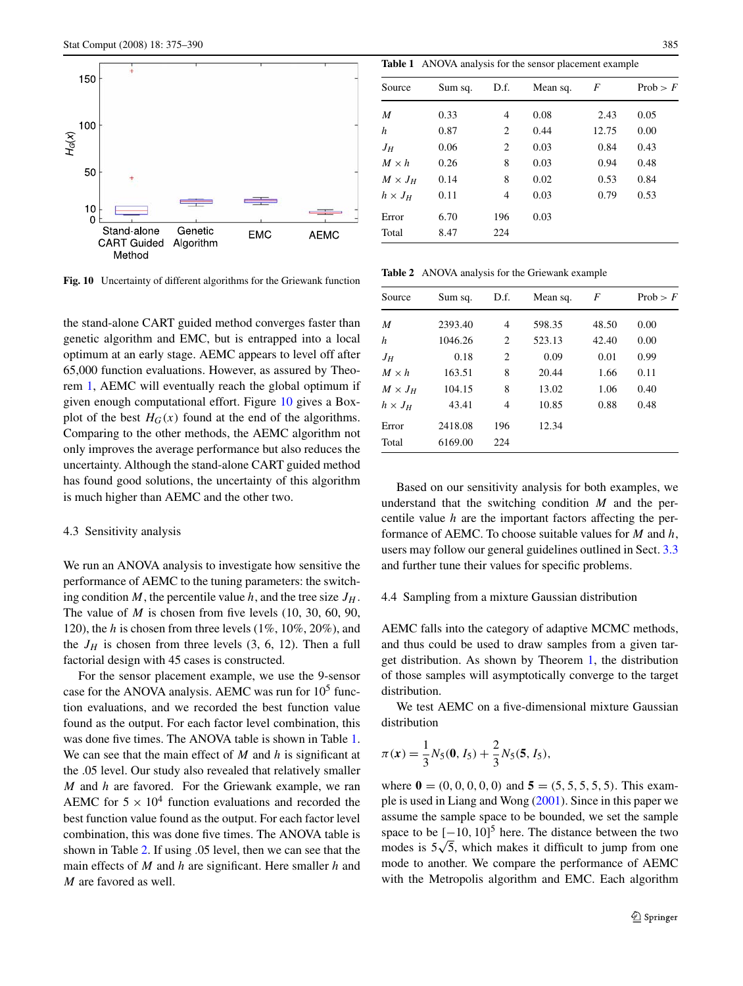<span id="page-10-0"></span>

**Fig. 10** Uncertainty of different algorithms for the Griewank function

the stand-alone CART guided method converges faster than genetic algorithm and EMC, but is entrapped into a local optimum at an early stage. AEMC appears to level off after 65,000 function evaluations. However, as assured by Theorem [1,](#page-7-0) AEMC will eventually reach the global optimum if given enough computational effort. Figure 10 gives a Boxplot of the best  $H_G(x)$  found at the end of the algorithms. Comparing to the other methods, the AEMC algorithm not only improves the average performance but also reduces the uncertainty. Although the stand-alone CART guided method has found good solutions, the uncertainty of this algorithm is much higher than AEMC and the other two.

#### 4.3 Sensitivity analysis

We run an ANOVA analysis to investigate how sensitive the performance of AEMC to the tuning parameters: the switching condition  $M$ , the percentile value  $h$ , and the tree size  $J_H$ . The value of *M* is chosen from five levels (10, 30, 60, 90, 120), the *h* is chosen from three levels (1%, 10%, 20%), and the  $J_H$  is chosen from three levels  $(3, 6, 12)$ . Then a full factorial design with 45 cases is constructed.

For the sensor placement example, we use the 9-sensor case for the ANOVA analysis. AEMC was run for  $10<sup>5</sup>$  function evaluations, and we recorded the best function value found as the output. For each factor level combination, this was done five times. The ANOVA table is shown in Table 1. We can see that the main effect of *M* and *h* is significant at the .05 level. Our study also revealed that relatively smaller *M* and *h* are favored. For the Griewank example, we ran AEMC for  $5 \times 10^4$  function evaluations and recorded the best function value found as the output. For each factor level combination, this was done five times. The ANOVA table is shown in Table 2. If using .05 level, then we can see that the main effects of *M* and *h* are significant. Here smaller *h* and *M* are favored as well.

**Table 1** ANOVA analysis for the sensor placement example

| Source           | Sum sq. | D.f. | Mean sq. | F     | Prob $\geq F$ |
|------------------|---------|------|----------|-------|---------------|
| $\boldsymbol{M}$ | 0.33    | 4    | 0.08     | 2.43  | 0.05          |
| h                | 0.87    | 2    | 0.44     | 12.75 | 0.00          |
| $J_H$            | 0.06    | 2    | 0.03     | 0.84  | 0.43          |
| $M \times h$     | 0.26    | 8    | 0.03     | 0.94  | 0.48          |
| $M \times J_H$   | 0.14    | 8    | 0.02     | 0.53  | 0.84          |
| $h \times J_H$   | 0.11    | 4    | 0.03     | 0.79  | 0.53          |
| Error            | 6.70    | 196  | 0.03     |       |               |
| Total            | 8.47    | 224  |          |       |               |

**Table 2** ANOVA analysis for the Griewank example

| Source           | Sum sq. | D.f. | Mean sq. | F     | Prob $\geq F$ |
|------------------|---------|------|----------|-------|---------------|
| $\boldsymbol{M}$ | 2393.40 | 4    | 598.35   | 48.50 | 0.00          |
| h                | 1046.26 | 2    | 523.13   | 42.40 | 0.00          |
| $J_H$            | 0.18    | 2    | 0.09     | 0.01  | 0.99          |
| $M \times h$     | 163.51  | 8    | 20.44    | 1.66  | 0.11          |
| $M \times J_H$   | 104.15  | 8    | 13.02    | 1.06  | 0.40          |
| $h \times J_H$   | 43.41   | 4    | 10.85    | 0.88  | 0.48          |
| Error            | 2418.08 | 196  | 12.34    |       |               |
| Total            | 6169.00 | 224  |          |       |               |

Based on our sensitivity analysis for both examples, we understand that the switching condition *M* and the percentile value *h* are the important factors affecting the performance of AEMC. To choose suitable values for *M* and *h*, users may follow our general guidelines outlined in Sect. [3.3](#page-4-0) and further tune their values for specific problems.

#### 4.4 Sampling from a mixture Gaussian distribution

AEMC falls into the category of adaptive MCMC methods, and thus could be used to draw samples from a given target distribution. As shown by Theorem [1](#page-7-0), the distribution of those samples will asymptotically converge to the target distribution.

We test AEMC on a five-dimensional mixture Gaussian distribution

$$
\pi(\mathbf{x}) = \frac{1}{3} N_5(\mathbf{0}, I_5) + \frac{2}{3} N_5(\mathbf{5}, I_5),
$$

where  $\mathbf{0} = (0, 0, 0, 0, 0)$  and  $\mathbf{5} = (5, 5, 5, 5, 5)$ . This example is used in Liang and Wong ([2001\)](#page-15-0). Since in this paper we assume the sample space to be bounded, we set the sample space to be  $[-10, 10]^5$  here. The distance between the two modes is  $5\sqrt{5}$ , which makes it difficult to jump from one mode to another. We compare the performance of AEMC with the Metropolis algorithm and EMC. Each algorithm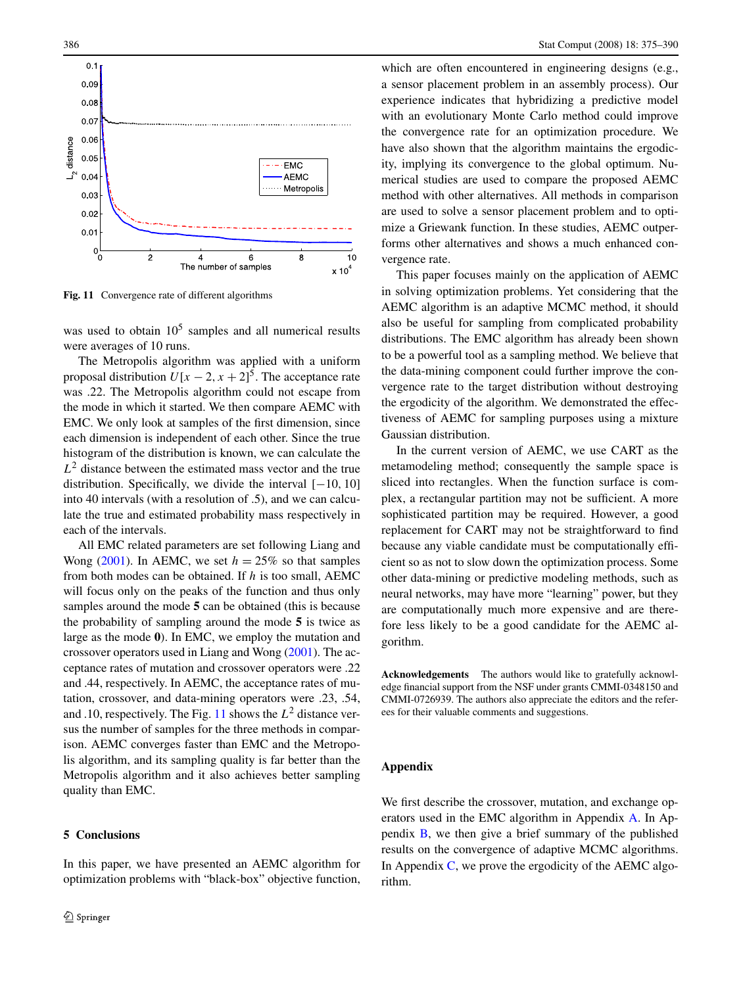<span id="page-11-0"></span>

Fig. 11 Convergence rate of different algorithms

was used to obtain  $10^5$  samples and all numerical results were averages of 10 runs.

The Metropolis algorithm was applied with a uniform proposal distribution  $U[x - 2, x + 2]^5$ . The acceptance rate was .22. The Metropolis algorithm could not escape from the mode in which it started. We then compare AEMC with EMC. We only look at samples of the first dimension, since each dimension is independent of each other. Since the true histogram of the distribution is known, we can calculate the  $L<sup>2</sup>$  distance between the estimated mass vector and the true distribution. Specifically, we divide the interval [−10*,* 10] into 40 intervals (with a resolution of .5), and we can calculate the true and estimated probability mass respectively in each of the intervals.

All EMC related parameters are set following Liang and Wong [\(2001\)](#page-15-0). In AEMC, we set  $h = 25\%$  so that samples from both modes can be obtained. If *h* is too small, AEMC will focus only on the peaks of the function and thus only samples around the mode **5** can be obtained (this is because the probability of sampling around the mode **5** is twice as large as the mode **0**). In EMC, we employ the mutation and crossover operators used in Liang and Wong [\(2001](#page-15-0)). The acceptance rates of mutation and crossover operators were .22 and .44, respectively. In AEMC, the acceptance rates of mutation, crossover, and data-mining operators were .23, .54, and .10, respectively. The Fig. 11 shows the  $L^2$  distance versus the number of samples for the three methods in comparison. AEMC converges faster than EMC and the Metropolis algorithm, and its sampling quality is far better than the Metropolis algorithm and it also achieves better sampling quality than EMC.

# **5 Conclusions**

In this paper, we have presented an AEMC algorithm for optimization problems with "black-box" objective function,

which are often encountered in engineering designs (e.g., a sensor placement problem in an assembly process). Our experience indicates that hybridizing a predictive model with an evolutionary Monte Carlo method could improve the convergence rate for an optimization procedure. We have also shown that the algorithm maintains the ergodicity, implying its convergence to the global optimum. Numerical studies are used to compare the proposed AEMC method with other alternatives. All methods in comparison are used to solve a sensor placement problem and to optimize a Griewank function. In these studies, AEMC outperforms other alternatives and shows a much enhanced convergence rate.

This paper focuses mainly on the application of AEMC in solving optimization problems. Yet considering that the AEMC algorithm is an adaptive MCMC method, it should also be useful for sampling from complicated probability distributions. The EMC algorithm has already been shown to be a powerful tool as a sampling method. We believe that the data-mining component could further improve the convergence rate to the target distribution without destroying the ergodicity of the algorithm. We demonstrated the effectiveness of AEMC for sampling purposes using a mixture Gaussian distribution.

In the current version of AEMC, we use CART as the metamodeling method; consequently the sample space is sliced into rectangles. When the function surface is complex, a rectangular partition may not be sufficient. A more sophisticated partition may be required. However, a good replacement for CART may not be straightforward to find because any viable candidate must be computationally efficient so as not to slow down the optimization process. Some other data-mining or predictive modeling methods, such as neural networks, may have more "learning" power, but they are computationally much more expensive and are therefore less likely to be a good candidate for the AEMC algorithm.

**Acknowledgements** The authors would like to gratefully acknowledge financial support from the NSF under grants CMMI-0348150 and CMMI-0726939. The authors also appreciate the editors and the referees for their valuable comments and suggestions.

# **Appendix**

We first describe the crossover, mutation, and exchange operators used in the EMC algorithm in Appendix [A](#page-12-0). In Appendix [B](#page-12-0), we then give a brief summary of the published results on the convergence of adaptive MCMC algorithms. In Appendix  $C$ , we prove the ergodicity of the AEMC algorithm.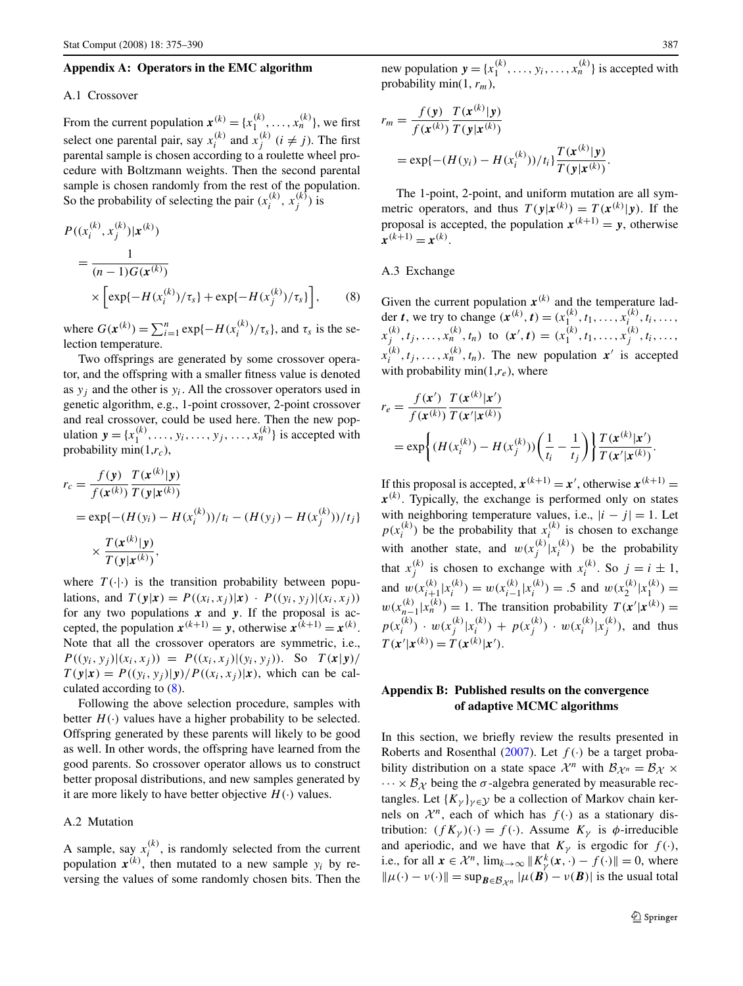#### <span id="page-12-0"></span>**Appendix A: Operators in the EMC algorithm**

## A.1 Crossover

From the current population  $\mathbf{x}^{(k)} = \{x_1^{(k)}, \dots, x_n^{(k)}\}$ , we first select one parental pair, say  $x_i^{(k)}$  and  $x_j^{(k)}$  ( $i \neq j$ ). The first parental sample is chosen according to a roulette wheel procedure with Boltzmann weights. Then the second parental sample is chosen randomly from the rest of the population. So the probability of selecting the pair  $(x_i^{(k)}, x_j^{(k)})$  is

$$
P((x_i^{(k)}, x_j^{(k)}) | \mathbf{x}^{(k)})
$$
  
= 
$$
\frac{1}{(n-1)G(\mathbf{x}^{(k)})}
$$
  

$$
\times \left[ \exp\{-H(x_i^{(k)})/\tau_s\} + \exp\{-H(x_j^{(k)})/\tau_s\} \right],
$$
 (8)

where  $G(\mathbf{x}^{(k)}) = \sum_{i=1}^{n} \exp\{-H(x_i^{(k)})/\tau_s\}$ , and  $\tau_s$  is the selection temperature.

Two offsprings are generated by some crossover operator, and the offspring with a smaller fitness value is denoted as  $y_i$  and the other is  $y_i$ . All the crossover operators used in genetic algorithm, e.g., 1-point crossover, 2-point crossover and real crossover, could be used here. Then the new population  $y = \{x_1^{(k)}, \ldots, y_i, \ldots, y_j, \ldots, x_n^{(k)}\}$  is accepted with probability min $(1,r_c)$ ,

$$
r_c = \frac{f(\mathbf{y})}{f(\mathbf{x}^{(k)})} \frac{T(\mathbf{x}^{(k)} | \mathbf{y})}{T(\mathbf{y} | \mathbf{x}^{(k)})}
$$
  
=  $\exp\{- (H(y_i) - H(x_i^{(k)}))/t_i - (H(y_j) - H(x_j^{(k)}))/t_j \}$   
 $\times \frac{T(\mathbf{x}^{(k)} | \mathbf{y})}{T(\mathbf{y} | \mathbf{x}^{(k)})},$ 

where  $T(\cdot|\cdot)$  is the transition probability between populations, and  $T(y|x) = P((x_i, x_j)|x) \cdot P((y_i, y_j)|(x_i, x_j))$ for any two populations  $x$  and  $y$ . If the proposal is accepted, the population  $\mathbf{x}^{(k+1)} = \mathbf{y}$ , otherwise  $\mathbf{x}^{(k+1)} = \mathbf{x}^{(k)}$ . Note that all the crossover operators are symmetric, i.e.,  $P((y_i, y_j)|(x_i, x_j)) = P((x_i, x_j)|(y_i, y_j)).$  So  $T(x|y)/$  $T(y|x) = P((y_i, y_j)|y)/P((x_i, x_j)|x)$ , which can be calculated according to (8).

Following the above selection procedure, samples with better  $H(\cdot)$  values have a higher probability to be selected. Offspring generated by these parents will likely to be good as well. In other words, the offspring have learned from the good parents. So crossover operator allows us to construct better proposal distributions, and new samples generated by it are more likely to have better objective  $H(\cdot)$  values.

# A.2 Mutation

A sample, say  $x_i^{(k)}$ , is randomly selected from the current population  $x^{(k)}$ , then mutated to a new sample  $y_i$  by reversing the values of some randomly chosen bits. Then the

new population  $\mathbf{y} = \{x_1^{(k)}, \dots, y_i, \dots, x_n^{(k)}\}$  is accepted with probability min $(1, r_m)$ ,

$$
r_m = \frac{f(\mathbf{y})}{f(\mathbf{x}^{(k)})} \frac{T(\mathbf{x}^{(k)} | \mathbf{y})}{T(\mathbf{y} | \mathbf{x}^{(k)})}
$$
  
=  $\exp\{-(H(y_i) - H(x_i^{(k)}))/t_i\} \frac{T(\mathbf{x}^{(k)} | \mathbf{y})}{T(\mathbf{y} | \mathbf{x}^{(k)})}.$ 

The 1-point, 2-point, and uniform mutation are all symmetric operators, and thus  $T(\mathbf{y}|\mathbf{x}^{(k)}) = T(\mathbf{x}^{(k)}|\mathbf{y})$ . If the proposal is accepted, the population  $x^{(k+1)} = y$ , otherwise  $\mathbf{x}^{(k+1)} = \mathbf{x}^{(k)}$ .

## A.3 Exchange

Given the current population  $x^{(k)}$  and the temperature ladder *t*, we try to change  $(\mathbf{x}^{(k)}, t) = (x_1^{(k)}, t_1, \ldots, x_i^{(k)}, t_i, \ldots,$  $x_j^{(k)}$ ,  $t_j$ , ...,  $x_n^{(k)}$ ,  $t_n$ ) to  $(\mathbf{x}', \mathbf{t}) = (x_1^{(k)}, t_1, \ldots, x_j^{(k)}, t_i, \ldots,$  $x_i^{(k)}$ ,  $t_j$ , ...,  $x_n^{(k)}$ ,  $t_n$ ). The new population  $x'$  is accepted with probability  $min(1,r_e)$ , where

$$
r_e = \frac{f(\mathbf{x}')}{f(\mathbf{x}^{(k)})} \frac{T(\mathbf{x}^{(k)} | \mathbf{x}')}{T(\mathbf{x}' | \mathbf{x}^{(k)})}
$$
  
=  $\exp\left\{ (H(x_i^{(k)}) - H(x_j^{(k)})) \left( \frac{1}{t_i} - \frac{1}{t_j} \right) \right\} \frac{T(\mathbf{x}^{(k)} | \mathbf{x}')}{T(\mathbf{x}' | \mathbf{x}^{(k)})}.$ 

If this proposal is accepted,  $x^{(k+1)} = x'$ , otherwise  $x^{(k+1)} =$  $x^{(k)}$ . Typically, the exchange is performed only on states with neighboring temperature values, i.e.,  $|i - j| = 1$ . Let  $p(x_i^{(k)})$  be the probability that  $x_i^{(k)}$  is chosen to exchange with another state, and  $w(x_j^{(k)} | x_i^{(k)})$  be the probability that  $x_j^{(k)}$  is chosen to exchange with  $x_i^{(k)}$ . So  $j = i \pm 1$ , and  $w(x_{i+1}^{(k)} | x_i^{(k)}) = w(x_{i-1}^{(k)} | x_i^{(k)}) = .5$  and  $w(x_2^{(k)} | x_1^{(k)}) =$  $w(x_{n-1}^{(k)} | x_n^{(k)}) = 1$ . The transition probability  $T(x'|x^{(k)}) =$  $p(x_i^{(k)}) \cdot w(x_j^{(k)} | x_i^{(k)}) + p(x_j^{(k)}) \cdot w(x_i^{(k)} | x_j^{(k)}),$  and thus  $T(x'|x^{(k)}) = T(x^{(k)}|x').$ 

# **Appendix B: Published results on the convergence of adaptive MCMC algorithms**

In this section, we briefly review the results presented in Roberts and Rosenthal ([2007\)](#page-15-0). Let  $f(\cdot)$  be a target probability distribution on a state space  $\mathcal{X}^n$  with  $\mathcal{B}_{\mathcal{X}^n} = \mathcal{B}_{\mathcal{X}} \times$  $\cdots \times \mathcal{B}_{\mathcal{X}}$  being the  $\sigma$ -algebra generated by measurable rectangles. Let  ${K_\gamma}_{\gamma \in \mathcal{Y}}$  be a collection of Markov chain kernels on  $\mathcal{X}^n$ , each of which has  $f(\cdot)$  as a stationary distribution:  $(f K_{\nu})(\cdot) = f(\cdot)$ . Assume  $K_{\nu}$  is  $\phi$ -irreducible and aperiodic, and we have that  $K_{\gamma}$  is ergodic for  $f(\cdot)$ , i.e., for all  $\mathbf{x} \in \mathcal{X}^n$ ,  $\lim_{k \to \infty} ||K^k_{\gamma}(\mathbf{x}, \cdot) - f(\cdot)|| = 0$ , where  $\|\mu(\cdot) - \nu(\cdot)\| = \sup_{\mathbf{B} \in \mathcal{B}_{\mathcal{X}^n}} |\mu(\mathbf{B}) - \nu(\mathbf{B})|$  is the usual total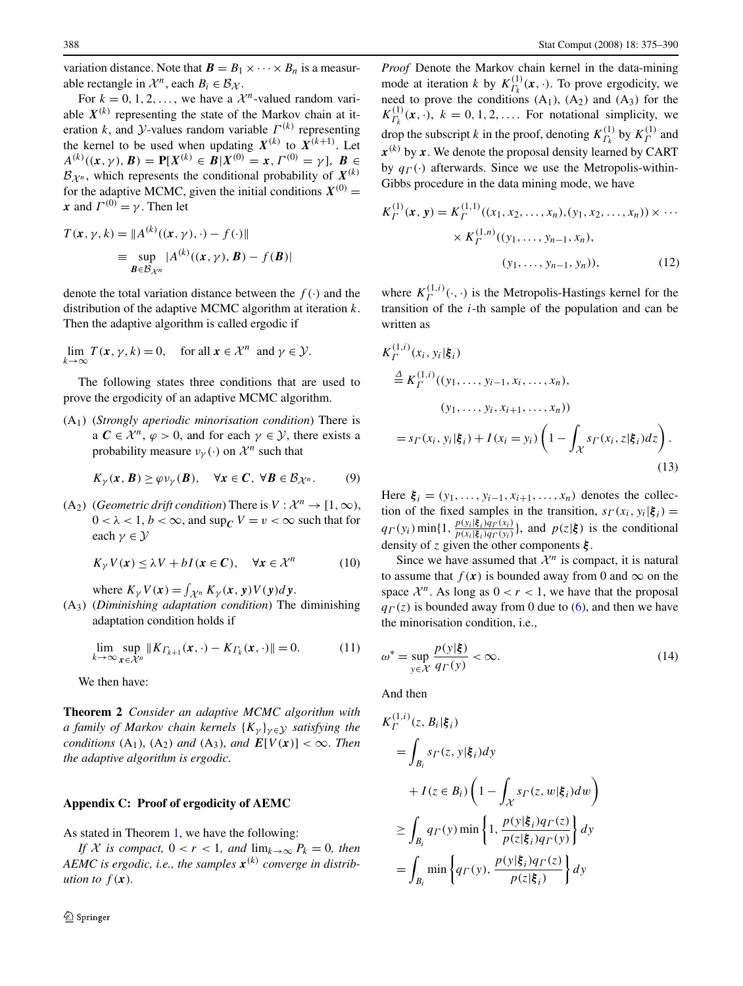<span id="page-13-0"></span>variation distance. Note that  $\mathbf{B} = B_1 \times \cdots \times B_n$  is a measurable rectangle in  $\mathcal{X}^n$ , each  $B_i \in \mathcal{B}_{\mathcal{X}}$ .

For  $k = 0, 1, 2, \ldots$ , we have a  $\mathcal{X}^n$ -valued random variable  $X^{(k)}$  representing the state of the Markov chain at iteration *k*, and *y*-values random variable  $\Gamma^{(k)}$  representing the kernel to be used when updating  $X^{(k)}$  to  $X^{(k+1)}$ . Let  $A^{(k)}((\mathbf{x}, \gamma), \mathbf{B}) = \mathbf{P}[X^{(k)} \in \mathbf{B} | X^{(0)} = \mathbf{x}, \Gamma^{(0)} = \gamma], \mathbf{B} \in$  $\mathcal{B}_{\mathcal{X}^n}$ , which represents the conditional probability of  $X^{(k)}$ for the adaptive MCMC, given the initial conditions  $X^{(0)}$  = *x* and  $\Gamma^{(0)} = \gamma$ . Then let

$$
T(\mathbf{x}, \gamma, k) = ||A^{(k)}((\mathbf{x}, \gamma), \cdot) - f(\cdot)||
$$
  

$$
\equiv \sup_{\mathbf{B} \in \mathcal{B}_{\mathcal{X}^n}} |A^{(k)}((\mathbf{x}, \gamma), \mathbf{B}) - f(\mathbf{B})|
$$

denote the total variation distance between the  $f(\cdot)$  and the distribution of the adaptive MCMC algorithm at iteration *k*. Then the adaptive algorithm is called ergodic if

$$
\lim_{k \to \infty} T(\mathbf{x}, \gamma, k) = 0, \quad \text{for all } \mathbf{x} \in \mathcal{X}^n \text{ and } \gamma \in \mathcal{Y}.
$$

The following states three conditions that are used to prove the ergodicity of an adaptive MCMC algorithm.

(A1) (*Strongly aperiodic minorisation condition*) There is a  $C \in \mathcal{X}^n$ ,  $\varphi > 0$ , and for each  $\gamma \in \mathcal{Y}$ , there exists a probability measure  $v_{\gamma}(\cdot)$  on  $\mathcal{X}^n$  such that

$$
K_{\gamma}(\boldsymbol{x},\boldsymbol{B}) \geq \varphi v_{\gamma}(\boldsymbol{B}), \quad \forall \boldsymbol{x} \in \boldsymbol{C}, \ \forall \boldsymbol{B} \in \mathcal{B}_{\mathcal{X}^n}.
$$
 (9)

(A<sub>2</sub>) (*Geometric drift condition*) There is  $V : \mathcal{X}^n \to [1, \infty)$ ,  $0 < \lambda < 1, b < \infty$ , and sup<sub>*C*</sub>  $V = v < \infty$  such that for each *γ* ∈ Y

$$
K_{\gamma} V(x) \le \lambda V + bI(x \in \mathbf{C}), \quad \forall x \in \mathcal{X}^n \tag{10}
$$

where  $K_{\gamma}V(x) = \int_{\mathcal{X}^n} K_{\gamma}(x, y)V(y)dy$ .

(A3) (*Diminishing adaptation condition*) The diminishing adaptation condition holds if

$$
\lim_{k \to \infty} \sup_{\mathbf{x} \in \mathcal{X}^n} \| K_{\Gamma_{k+1}}(\mathbf{x}, \cdot) - K_{\Gamma_k}(\mathbf{x}, \cdot) \| = 0. \tag{11}
$$

We then have:

**Theorem 2** *Consider an adaptive MCMC algorithm with a family of Markov chain kernels*  ${K_\gamma}_{\gamma \in \gamma}$  *satisfying the conditions* (A<sub>1</sub>), (A<sub>2</sub>) *and* (A<sub>3</sub>), *and*  $E[V(x)] < \infty$ . *Then the adaptive algorithm is ergodic*.

# **Appendix C: Proof of ergodicity of AEMC**

As stated in Theorem [1,](#page-7-0) we have the following:

*If*  $X$  *is compact,*  $0 < r < 1$ *, and*  $\lim_{k \to \infty} P_k = 0$ *, then AEMC is ergodic, i.e., the samples x(k) converge in distribution to*  $f(x)$ *.* 

*Proof* Denote the Markov chain kernel in the data-mining mode at iteration *k* by  $K_{\Gamma_k}^{(1)}(\mathbf{x}, \cdot)$ . To prove ergodicity, we need to prove the conditions  $(A_1)$ ,  $(A_2)$  and  $(A_3)$  for the  $K_{\Gamma_k}^{(1)}(x, \cdot)$ ,  $k = 0, 1, 2, \ldots$ . For notational simplicity, we drop the subscript *k* in the proof, denoting  $K_{\Gamma_k}^{(1)}$  by  $K_{\Gamma}^{(1)}$  and  $x^{(k)}$  by x. We denote the proposal density learned by CART by *qΓ (*·*)* afterwards. Since we use the Metropolis-within-Gibbs procedure in the data mining mode, we have

$$
K_{\Gamma}^{(1)}(\mathbf{x}, \mathbf{y}) = K_{\Gamma}^{(1,1)}((x_1, x_2, \dots, x_n), (y_1, x_2, \dots, x_n)) \times \cdots
$$

$$
\times K_{\Gamma}^{(1,n)}((y_1, \dots, y_{n-1}, x_n),
$$

$$
(y_1, \dots, y_{n-1}, y_n)), \tag{12}
$$

where  $K_{\Gamma}^{(1,i)}(\cdot,\cdot)$  is the Metropolis-Hastings kernel for the transition of the *i*-th sample of the population and can be written as

$$
K_{\Gamma}^{(1,i)}(x_i, y_i | \xi_i)
$$
  
\n
$$
\stackrel{\Delta}{=} K_{\Gamma}^{(1,i)}((y_1, \ldots, y_{i-1}, x_i, \ldots, x_n),
$$
  
\n
$$
(y_1, \ldots, y_i, x_{i+1}, \ldots, x_n))
$$
  
\n
$$
= s_{\Gamma}(x_i, y_i | \xi_i) + I(x_i = y_i) \left(1 - \int_{\mathcal{X}} s_{\Gamma}(x_i, z | \xi_i) dz\right).
$$
  
\n(13)

Here  $\xi_i = (y_1, \ldots, y_{i-1}, x_{i+1}, \ldots, x_n)$  denotes the collection of the fixed samples in the transition,  $s_\Gamma(x_i, y_i|\xi_i)$  =  $q_{\Gamma}(y_i)$  min{1,  $\frac{p(y_i|\xi_i)q_{\Gamma}(x_i)}{p(x_i|\xi_i)q_{\Gamma}(y_i)}$ }, and  $p(z|\xi)$  is the conditional density of *z* given the other components *ξ* .

Since we have assumed that  $\mathcal{X}^n$  is compact, it is natural to assume that  $f(x)$  is bounded away from 0 and  $\infty$  on the space  $\mathcal{X}^n$ . As long as  $0 < r < 1$ , we have that the proposal  $q_{\Gamma}(z)$  is bounded away from 0 due to [\(6](#page-5-0)), and then we have the minorisation condition, i.e.,

$$
\omega^* = \sup_{y \in \mathcal{X}} \frac{p(y|\xi)}{q(\xi)} < \infty. \tag{14}
$$

And then

$$
K_{\Gamma}^{(1,i)}(z, B_i | \xi_i)
$$
  
= 
$$
\int_{B_i} s_{\Gamma}(z, y | \xi_i) dy
$$
  
+ 
$$
I(z \in B_i) \left(1 - \int_{\mathcal{X}} s_{\Gamma}(z, w | \xi_i) dw\right)
$$
  

$$
\geq \int_{B_i} q_{\Gamma}(y) \min \left\{1, \frac{p(y | \xi_i) q_{\Gamma}(z)}{p(z | \xi_i) q_{\Gamma}(y)}\right\} dy
$$
  
= 
$$
\int_{B_i} \min \left\{q_{\Gamma}(y), \frac{p(y | \xi_i) q_{\Gamma}(z)}{p(z | \xi_i)}\right\} dy
$$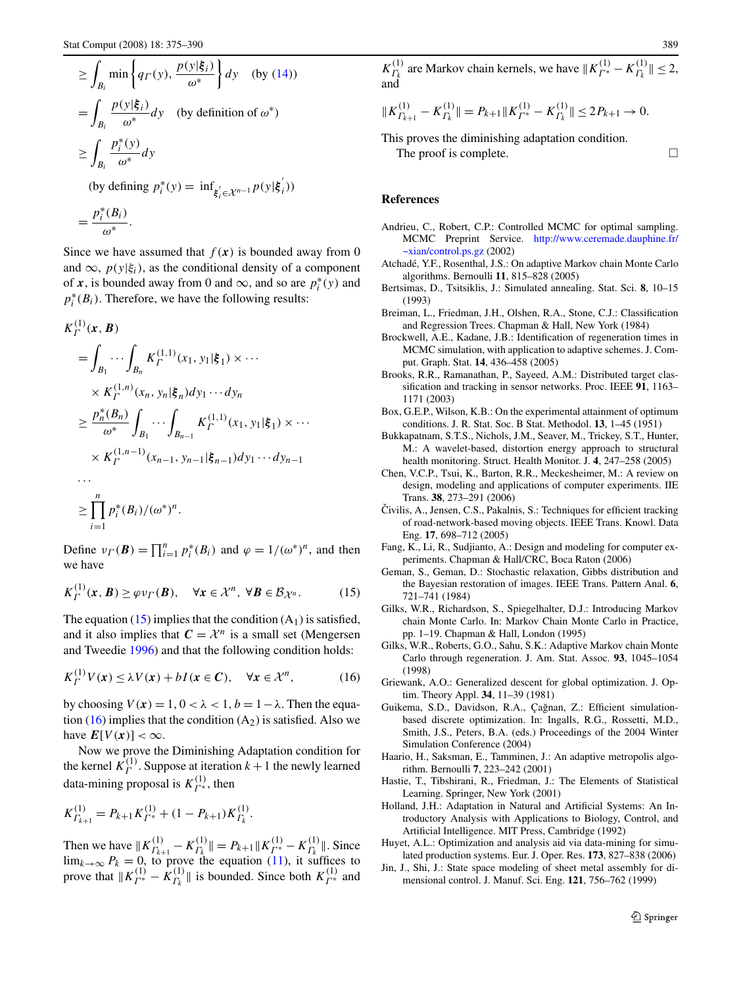<span id="page-14-0"></span>
$$
\geq \int_{B_i} \min \left\{ q_{\Gamma}(y), \frac{p(y|\xi_i)}{\omega^*} \right\} dy \quad \text{(by (14))}
$$
\n
$$
= \int_{B_i} \frac{p(y|\xi_i)}{\omega^*} dy \quad \text{(by definition of } \omega^*)
$$
\n
$$
\geq \int_{B_i} \frac{p_i^*(y)}{\omega^*} dy
$$
\n
$$
\text{(by defining } p_i^*(y) = \inf_{\xi_i \in \mathcal{X}^{n-1}} p(y|\xi_i^{'})
$$

$$
=\frac{p_i^*(B_i)}{\omega^*}.
$$

Since we have assumed that  $f(x)$  is bounded away from 0 and  $\infty$ ,  $p(y|\xi_i)$ , as the conditional density of a component of *x*, is bounded away from 0 and  $\infty$ , and so are  $p_i^*(y)$  and  $p_i^*(B_i)$ . Therefore, we have the following results:

$$
K_{\Gamma}^{(1)}(\mathbf{x}, \mathbf{B})
$$
  
=  $\int_{B_1} \cdots \int_{B_n} K_{\Gamma}^{(1,1)}(x_1, y_1 | \xi_1) \times \cdots$   
 $\times K_{\Gamma}^{(1,n)}(x_n, y_n | \xi_n) dy_1 \cdots dy_n$   
 $\geq \frac{p_n^*(B_n)}{\omega^*} \int_{B_1} \cdots \int_{B_{n-1}} K_{\Gamma}^{(1,1)}(x_1, y_1 | \xi_1) \times \cdots$   
 $\times K_{\Gamma}^{(1,n-1)}(x_{n-1}, y_{n-1} | \xi_{n-1}) dy_1 \cdots dy_{n-1}$   
 $\cdots$   
 $\geq \prod_{i=1}^n p_i^*(B_i) / (\omega^*)^n.$ 

Define  $v_\Gamma(B) = \prod_{i=1}^n p_i^*(B_i)$  and  $\varphi = 1/(\omega^*)^n$ , and then we have

$$
K_{\Gamma}^{(1)}(\mathbf{x}, \mathbf{B}) \ge \varphi v_{\Gamma}(\mathbf{B}), \quad \forall \mathbf{x} \in \mathcal{X}^n, \ \forall \mathbf{B} \in \mathcal{B}_{\mathcal{X}^n}.
$$
 (15)

The equation (15) implies that the condition  $(A_1)$  is satisfied, and it also implies that  $C = \mathcal{X}^n$  is a small set (Mengersen and Tweedie [1996\)](#page-15-0) and that the following condition holds:

$$
K_{\Gamma}^{(1)}V(x) \le \lambda V(x) + bI(x \in \mathbf{C}), \quad \forall x \in \mathcal{X}^n,
$$
 (16)

by choosing  $V(x) = 1, 0 < \lambda < 1, b = 1 - \lambda$ . Then the equation (16) implies that the condition  $(A_2)$  is satisfied. Also we have  $E[V(x)] < \infty$ .

Now we prove the Diminishing Adaptation condition for the kernel  $K_F^{(1)}$ . Suppose at iteration  $k+1$  the newly learned data-mining proposal is  $K_{\Gamma^*}^{(1)}$ , then

$$
K_{\Gamma_{k+1}}^{(1)} = P_{k+1} K_{\Gamma^*}^{(1)} + (1 - P_{k+1}) K_{\Gamma_k}^{(1)}.
$$

Then we have  $||K_{\Gamma_{k+1}}^{(1)} - K_{\Gamma_k}^{(1)}|| = P_{k+1} ||K_{\Gamma^*}^{(1)} - K_{\Gamma_k}^{(1)}||$ . Since  $\lim_{k\to\infty} P_k = 0$ , to prove the equation ([11\)](#page-13-0), it suffices to prove that  $||K_{\Gamma^*}^{(1)} - K_{\Gamma_k}^{(1)}||$  is bounded. Since both  $K_{\Gamma^*}^{(1)}$  and

*K*<sub>*Γ<sub>k</sub>*</sub> are Markov chain kernels, we have  $||K_{\Gamma^*}^{(1)} - K_{\Gamma_k}^{(1)}|| \leq 2$ , and

$$
||K_{\Gamma_{k+1}}^{(1)} - K_{\Gamma_k}^{(1)}|| = P_{k+1}||K_{\Gamma^*}^{(1)} - K_{\Gamma_k}^{(1)}|| \le 2P_{k+1} \to 0.
$$

This proves the diminishing adaptation condition. The proof is complete.  $\Box$ 

## **References**

- Andrieu, C., Robert, C.P.: Controlled MCMC for optimal sampling. MCMC Preprint Service. [http://www.ceremade.dauphine.fr/](http://www.ceremade.dauphine.fr/~xian/control.ps.gz) [~xian/control.ps.gz](http://www.ceremade.dauphine.fr/~xian/control.ps.gz) (2002)
- Atchadé, Y.F., Rosenthal, J.S.: On adaptive Markov chain Monte Carlo algorithms. Bernoulli **11**, 815–828 (2005)
- Bertsimas, D., Tsitsiklis, J.: Simulated annealing. Stat. Sci. **8**, 10–15 (1993)
- Breiman, L., Friedman, J.H., Olshen, R.A., Stone, C.J.: Classification and Regression Trees. Chapman & Hall, New York (1984)
- Brockwell, A.E., Kadane, J.B.: Identification of regeneration times in MCMC simulation, with application to adaptive schemes. J. Comput. Graph. Stat. **14**, 436–458 (2005)
- Brooks, R.R., Ramanathan, P., Sayeed, A.M.: Distributed target classification and tracking in sensor networks. Proc. IEEE **91**, 1163– 1171 (2003)
- Box, G.E.P., Wilson, K.B.: On the experimental attainment of optimum conditions. J. R. Stat. Soc. B Stat. Methodol. **13**, 1–45 (1951)
- Bukkapatnam, S.T.S., Nichols, J.M., Seaver, M., Trickey, S.T., Hunter, M.: A wavelet-based, distortion energy approach to structural health monitoring. Struct. Health Monitor. J. **4**, 247–258 (2005)
- Chen, V.C.P., Tsui, K., Barton, R.R., Meckesheimer, M.: A review on design, modeling and applications of computer experiments. IIE Trans. **38**, 273–291 (2006)
- Čivilis, A., Jensen, C.S., Pakalnis, S.: Techniques for efficient tracking of road-network-based moving objects. IEEE Trans. Knowl. Data Eng. **17**, 698–712 (2005)
- Fang, K., Li, R., Sudjianto, A.: Design and modeling for computer experiments. Chapman & Hall/CRC, Boca Raton (2006)
- Geman, S., Geman, D.: Stochastic relaxation, Gibbs distribution and the Bayesian restoration of images. IEEE Trans. Pattern Anal. **6**, 721–741 (1984)
- Gilks, W.R., Richardson, S., Spiegelhalter, D.J.: Introducing Markov chain Monte Carlo. In: Markov Chain Monte Carlo in Practice, pp. 1–19. Chapman & Hall, London (1995)
- Gilks, W.R., Roberts, G.O., Sahu, S.K.: Adaptive Markov chain Monte Carlo through regeneration. J. Am. Stat. Assoc. **93**, 1045–1054 (1998)
- Griewank, A.O.: Generalized descent for global optimization. J. Optim. Theory Appl. **34**, 11–39 (1981)
- Guikema, S.D., Davidson, R.A., Çağnan, Z.: Efficient simulationbased discrete optimization. In: Ingalls, R.G., Rossetti, M.D., Smith, J.S., Peters, B.A. (eds.) Proceedings of the 2004 Winter Simulation Conference (2004)
- Haario, H., Saksman, E., Tamminen, J.: An adaptive metropolis algorithm. Bernoulli **7**, 223–242 (2001)
- Hastie, T., Tibshirani, R., Friedman, J.: The Elements of Statistical Learning. Springer, New York (2001)
- Holland, J.H.: Adaptation in Natural and Artificial Systems: An Introductory Analysis with Applications to Biology, Control, and Artificial Intelligence. MIT Press, Cambridge (1992)
- Huyet, A.L.: Optimization and analysis aid via data-mining for simulated production systems. Eur. J. Oper. Res. **173**, 827–838 (2006)
- Jin, J., Shi, J.: State space modeling of sheet metal assembly for dimensional control. J. Manuf. Sci. Eng. **121**, 756–762 (1999)